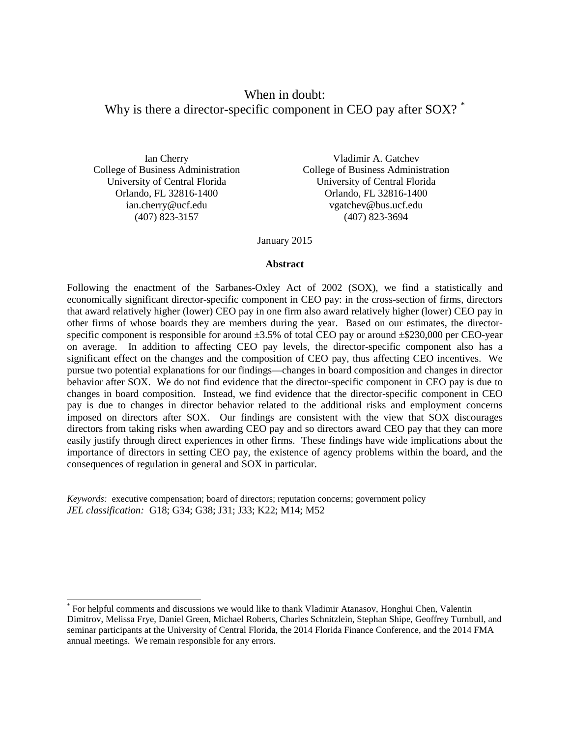# When in doubt: Why is there a director-specific component in CEO pay after SOX?

Ian Cherry College of Business Administration University of Central Florida Orlando, FL 32816-1400 ian.cherry@ucf.edu (407) 823-3157

 $\overline{a}$ 

Vladimir A. Gatchev College of Business Administration University of Central Florida Orlando, FL 32816-1400 vgatchev@bus.ucf.edu (407) 823-3694

January 2015

#### **Abstract**

Following the enactment of the Sarbanes-Oxley Act of 2002 (SOX), we find a statistically and economically significant director-specific component in CEO pay: in the cross-section of firms, directors that award relatively higher (lower) CEO pay in one firm also award relatively higher (lower) CEO pay in other firms of whose boards they are members during the year. Based on our estimates, the directorspecific component is responsible for around  $\pm 3.5\%$  of total CEO pay or around  $\pm \frac{6230,000}{2}$  per CEO-year on average. In addition to affecting CEO pay levels, the director-specific component also has a significant effect on the changes and the composition of CEO pay, thus affecting CEO incentives. We pursue two potential explanations for our findings—changes in board composition and changes in director behavior after SOX. We do not find evidence that the director-specific component in CEO pay is due to changes in board composition. Instead, we find evidence that the director-specific component in CEO pay is due to changes in director behavior related to the additional risks and employment concerns imposed on directors after SOX. Our findings are consistent with the view that SOX discourages directors from taking risks when awarding CEO pay and so directors award CEO pay that they can more easily justify through direct experiences in other firms. These findings have wide implications about the importance of directors in setting CEO pay, the existence of agency problems within the board, and the consequences of regulation in general and SOX in particular.

*Keywords:* executive compensation; board of directors; reputation concerns; government policy *JEL classification:* G18; G34; G38; J31; J33; K22; M14; M52

<span id="page-0-0"></span><sup>\*</sup> For helpful comments and discussions we would like to thank Vladimir Atanasov, Honghui Chen, Valentin Dimitrov, Melissa Frye, Daniel Green, Michael Roberts, Charles Schnitzlein, Stephan Shipe, Geoffrey Turnbull, and seminar participants at the University of Central Florida, the 2014 Florida Finance Conference, and the 2014 FMA annual meetings. We remain responsible for any errors.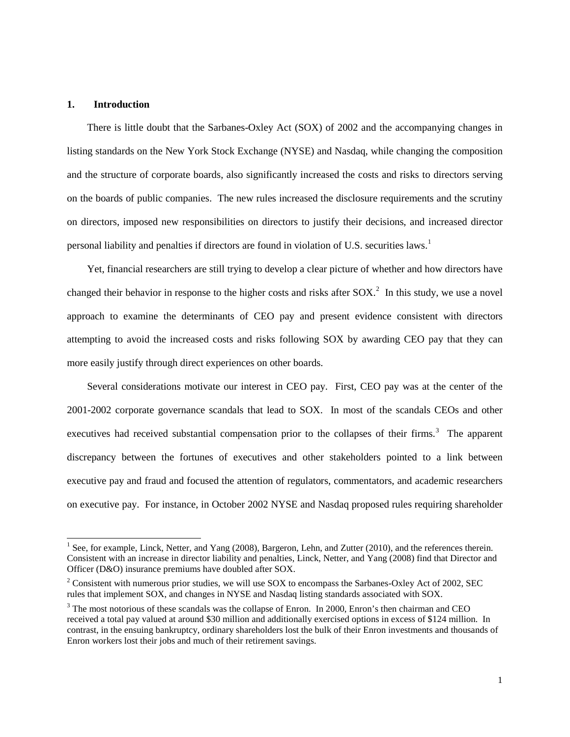#### **1. Introduction**

 $\overline{a}$ 

There is little doubt that the Sarbanes-Oxley Act (SOX) of 2002 and the accompanying changes in listing standards on the New York Stock Exchange (NYSE) and Nasdaq, while changing the composition and the structure of corporate boards, also significantly increased the costs and risks to directors serving on the boards of public companies. The new rules increased the disclosure requirements and the scrutiny on directors, imposed new responsibilities on directors to justify their decisions, and increased director personal liability and penalties if directors are found in violation of U.S. securities laws.[1](#page-1-0)

Yet, financial researchers are still trying to develop a clear picture of whether and how directors have changed their behavior in response to the higher costs and risks after  $SOX$ . In this study, we use a novel approach to examine the determinants of CEO pay and present evidence consistent with directors attempting to avoid the increased costs and risks following SOX by awarding CEO pay that they can more easily justify through direct experiences on other boards.

Several considerations motivate our interest in CEO pay. First, CEO pay was at the center of the 2001-2002 corporate governance scandals that lead to SOX. In most of the scandals CEOs and other executives had received substantial compensation prior to the collapses of their firms.<sup>[3](#page-1-2)</sup> The apparent discrepancy between the fortunes of executives and other stakeholders pointed to a link between executive pay and fraud and focused the attention of regulators, commentators, and academic researchers on executive pay. For instance, in October 2002 NYSE and Nasdaq proposed rules requiring shareholder

<span id="page-1-0"></span><sup>&</sup>lt;sup>1</sup> See, for example, Linck, Netter, and Yang (2008), Bargeron, Lehn, and Zutter (2010), and the references therein. Consistent with an increase in director liability and penalties, Linck, Netter, and Yang (2008) find that Director and Officer (D&O) insurance premiums have doubled after SOX.

<span id="page-1-1"></span><sup>&</sup>lt;sup>2</sup> Consistent with numerous prior studies, we will use SOX to encompass the Sarbanes-Oxley Act of 2002, SEC rules that implement SOX, and changes in NYSE and Nasdaq listing standards associated with SOX.

<span id="page-1-2"></span><sup>&</sup>lt;sup>3</sup> The most notorious of these scandals was the collapse of Enron. In 2000, Enron's then chairman and CEO received a total pay valued at around \$30 million and additionally exercised options in excess of \$124 million. In contrast, in the ensuing bankruptcy, ordinary shareholders lost the bulk of their Enron investments and thousands of Enron workers lost their jobs and much of their retirement savings.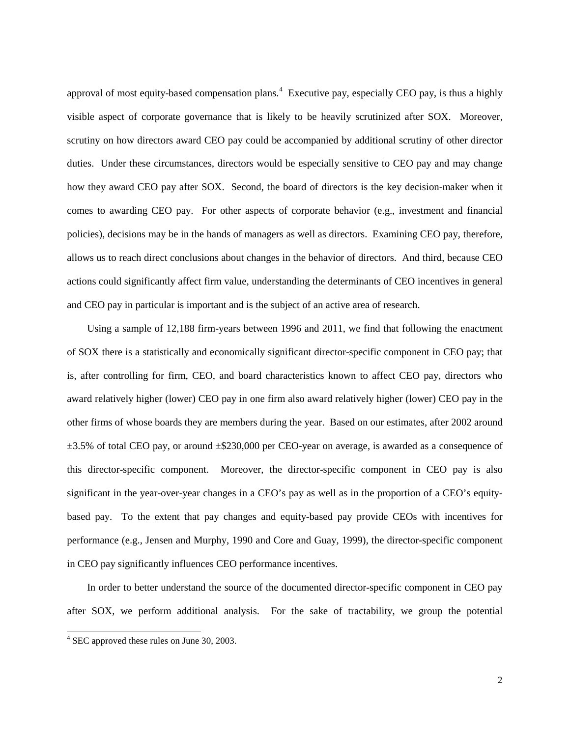approval of most equity-based compensation plans.<sup>[4](#page-2-0)</sup> Executive pay, especially CEO pay, is thus a highly visible aspect of corporate governance that is likely to be heavily scrutinized after SOX. Moreover, scrutiny on how directors award CEO pay could be accompanied by additional scrutiny of other director duties. Under these circumstances, directors would be especially sensitive to CEO pay and may change how they award CEO pay after SOX. Second, the board of directors is the key decision-maker when it comes to awarding CEO pay. For other aspects of corporate behavior (e.g., investment and financial policies), decisions may be in the hands of managers as well as directors. Examining CEO pay, therefore, allows us to reach direct conclusions about changes in the behavior of directors. And third, because CEO actions could significantly affect firm value, understanding the determinants of CEO incentives in general and CEO pay in particular is important and is the subject of an active area of research.

Using a sample of 12,188 firm-years between 1996 and 2011, we find that following the enactment of SOX there is a statistically and economically significant director-specific component in CEO pay; that is, after controlling for firm, CEO, and board characteristics known to affect CEO pay, directors who award relatively higher (lower) CEO pay in one firm also award relatively higher (lower) CEO pay in the other firms of whose boards they are members during the year. Based on our estimates, after 2002 around  $\pm 3.5\%$  of total CEO pay, or around  $\pm$ \$230,000 per CEO-year on average, is awarded as a consequence of this director-specific component. Moreover, the director-specific component in CEO pay is also significant in the year-over-year changes in a CEO's pay as well as in the proportion of a CEO's equitybased pay. To the extent that pay changes and equity-based pay provide CEOs with incentives for performance (e.g., Jensen and Murphy, 1990 and Core and Guay, 1999), the director-specific component in CEO pay significantly influences CEO performance incentives.

In order to better understand the source of the documented director-specific component in CEO pay after SOX, we perform additional analysis. For the sake of tractability, we group the potential

<span id="page-2-0"></span> $4$  SEC approved these rules on June 30, 2003.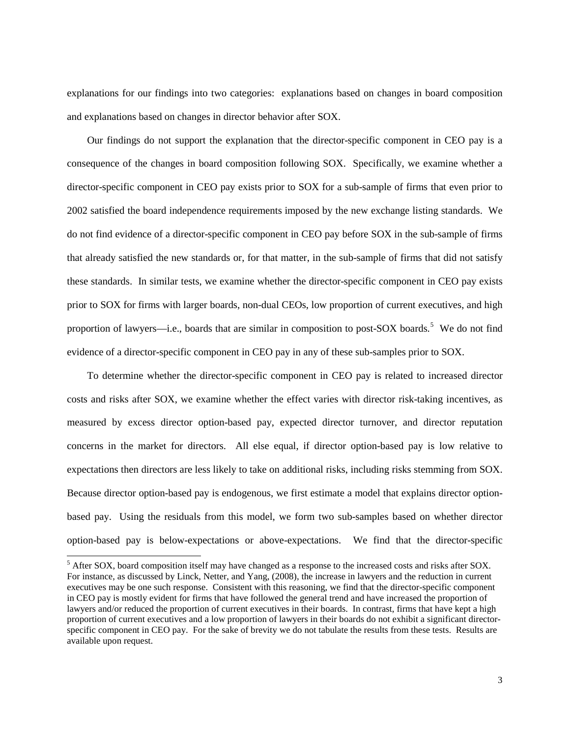explanations for our findings into two categories: explanations based on changes in board composition and explanations based on changes in director behavior after SOX.

Our findings do not support the explanation that the director-specific component in CEO pay is a consequence of the changes in board composition following SOX. Specifically, we examine whether a director-specific component in CEO pay exists prior to SOX for a sub-sample of firms that even prior to 2002 satisfied the board independence requirements imposed by the new exchange listing standards. We do not find evidence of a director-specific component in CEO pay before SOX in the sub-sample of firms that already satisfied the new standards or, for that matter, in the sub-sample of firms that did not satisfy these standards. In similar tests, we examine whether the director-specific component in CEO pay exists prior to SOX for firms with larger boards, non-dual CEOs, low proportion of current executives, and high proportion of lawyers—i.e., boards that are similar in composition to post-SOX boards.<sup>[5](#page-3-0)</sup> We do not find evidence of a director-specific component in CEO pay in any of these sub-samples prior to SOX.

To determine whether the director-specific component in CEO pay is related to increased director costs and risks after SOX, we examine whether the effect varies with director risk-taking incentives, as measured by excess director option-based pay, expected director turnover, and director reputation concerns in the market for directors. All else equal, if director option-based pay is low relative to expectations then directors are less likely to take on additional risks, including risks stemming from SOX. Because director option-based pay is endogenous, we first estimate a model that explains director optionbased pay. Using the residuals from this model, we form two sub-samples based on whether director option-based pay is below-expectations or above-expectations. We find that the director-specific

<span id="page-3-0"></span><sup>&</sup>lt;sup>5</sup> After SOX, board composition itself may have changed as a response to the increased costs and risks after SOX. For instance, as discussed by Linck, Netter, and Yang, (2008), the increase in lawyers and the reduction in current executives may be one such response. Consistent with this reasoning, we find that the director-specific component in CEO pay is mostly evident for firms that have followed the general trend and have increased the proportion of lawyers and/or reduced the proportion of current executives in their boards. In contrast, firms that have kept a high proportion of current executives and a low proportion of lawyers in their boards do not exhibit a significant directorspecific component in CEO pay. For the sake of brevity we do not tabulate the results from these tests. Results are available upon request.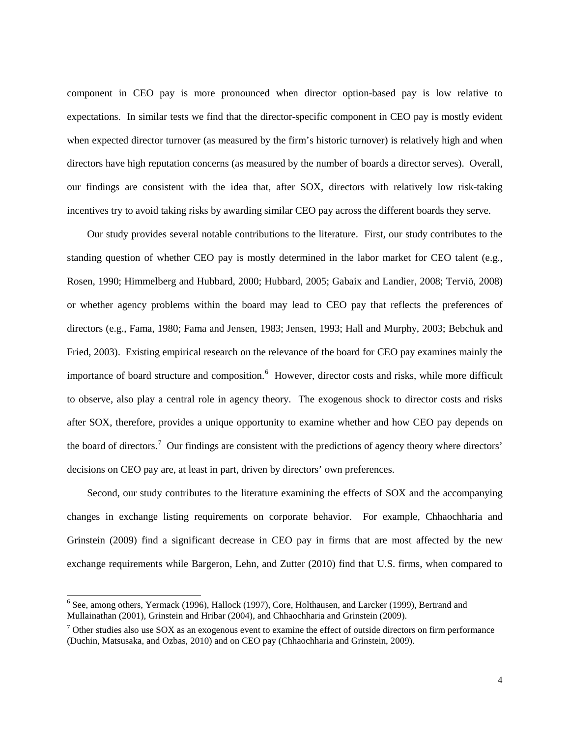component in CEO pay is more pronounced when director option-based pay is low relative to expectations. In similar tests we find that the director-specific component in CEO pay is mostly evident when expected director turnover (as measured by the firm's historic turnover) is relatively high and when directors have high reputation concerns (as measured by the number of boards a director serves). Overall, our findings are consistent with the idea that, after SOX, directors with relatively low risk-taking incentives try to avoid taking risks by awarding similar CEO pay across the different boards they serve.

Our study provides several notable contributions to the literature. First, our study contributes to the standing question of whether CEO pay is mostly determined in the labor market for CEO talent (e.g., Rosen, 1990; Himmelberg and Hubbard, 2000; Hubbard, 2005; Gabaix and Landier, 2008; Terviö, 2008) or whether agency problems within the board may lead to CEO pay that reflects the preferences of directors (e.g., Fama, 1980; Fama and Jensen, 1983; Jensen, 1993; Hall and Murphy, 2003; Bebchuk and Fried, 2003). Existing empirical research on the relevance of the board for CEO pay examines mainly the importance of board structure and composition.<sup>[6](#page-4-0)</sup> However, director costs and risks, while more difficult to observe, also play a central role in agency theory. The exogenous shock to director costs and risks after SOX, therefore, provides a unique opportunity to examine whether and how CEO pay depends on the board of directors.<sup>[7](#page-4-1)</sup> Our findings are consistent with the predictions of agency theory where directors' decisions on CEO pay are, at least in part, driven by directors' own preferences.

Second, our study contributes to the literature examining the effects of SOX and the accompanying changes in exchange listing requirements on corporate behavior. For example, Chhaochharia and Grinstein (2009) find a significant decrease in CEO pay in firms that are most affected by the new exchange requirements while Bargeron, Lehn, and Zutter (2010) find that U.S. firms, when compared to

<span id="page-4-0"></span><sup>&</sup>lt;sup>6</sup> See, among others, Yermack (1996), Hallock (1997), Core, Holthausen, and Larcker (1999), Bertrand and Mullainathan (2001), Grinstein and Hribar (2004), and Chhaochharia and Grinstein (2009).

<span id="page-4-1"></span> $7$  Other studies also use SOX as an exogenous event to examine the effect of outside directors on firm performance (Duchin, Matsusaka, and Ozbas, 2010) and on CEO pay (Chhaochharia and Grinstein, 2009).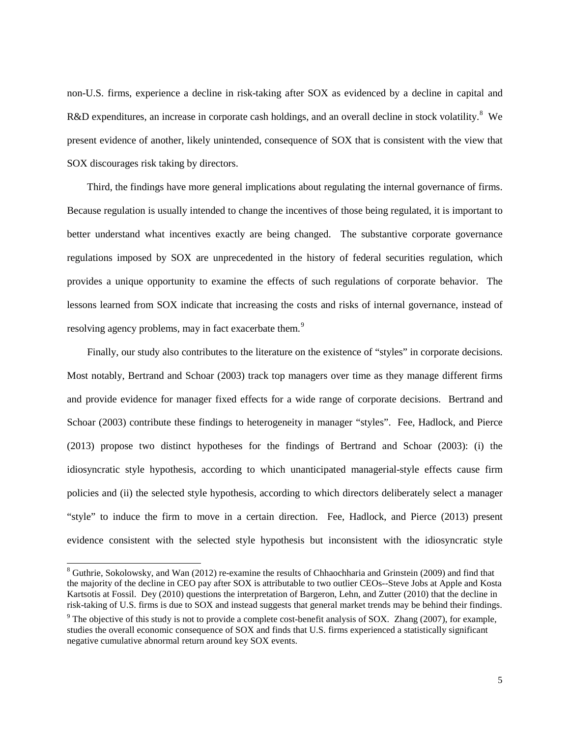non-U.S. firms, experience a decline in risk-taking after SOX as evidenced by a decline in capital and R&D expenditures, an increase in corporate cash holdings, and an overall decline in stock volatility.<sup>[8](#page-5-0)</sup> We present evidence of another, likely unintended, consequence of SOX that is consistent with the view that SOX discourages risk taking by directors.

Third, the findings have more general implications about regulating the internal governance of firms. Because regulation is usually intended to change the incentives of those being regulated, it is important to better understand what incentives exactly are being changed. The substantive corporate governance regulations imposed by SOX are unprecedented in the history of federal securities regulation, which provides a unique opportunity to examine the effects of such regulations of corporate behavior. The lessons learned from SOX indicate that increasing the costs and risks of internal governance, instead of resolving agency problems, may in fact exacerbate them.<sup>[9](#page-5-1)</sup>

Finally, our study also contributes to the literature on the existence of "styles" in corporate decisions. Most notably, Bertrand and Schoar (2003) track top managers over time as they manage different firms and provide evidence for manager fixed effects for a wide range of corporate decisions. Bertrand and Schoar (2003) contribute these findings to heterogeneity in manager "styles". Fee, Hadlock, and Pierce (2013) propose two distinct hypotheses for the findings of Bertrand and Schoar (2003): (i) the idiosyncratic style hypothesis, according to which unanticipated managerial-style effects cause firm policies and (ii) the selected style hypothesis, according to which directors deliberately select a manager "style" to induce the firm to move in a certain direction. Fee, Hadlock, and Pierce (2013) present evidence consistent with the selected style hypothesis but inconsistent with the idiosyncratic style

<span id="page-5-0"></span> $8$  Guthrie, Sokolowsky, and Wan (2012) re-examine the results of Chhaochharia and Grinstein (2009) and find that the majority of the decline in CEO pay after SOX is attributable to two outlier CEOs--Steve Jobs at Apple and Kosta Kartsotis at Fossil. Dey (2010) questions the interpretation of Bargeron, Lehn, and Zutter (2010) that the decline in risk-taking of U.S. firms is due to SOX and instead suggests that general market trends may be behind their findings.

<span id="page-5-1"></span> $9$  The objective of this study is not to provide a complete cost-benefit analysis of SOX. Zhang (2007), for example, studies the overall economic consequence of SOX and finds that U.S. firms experienced a statistically significant negative cumulative abnormal return around key SOX events.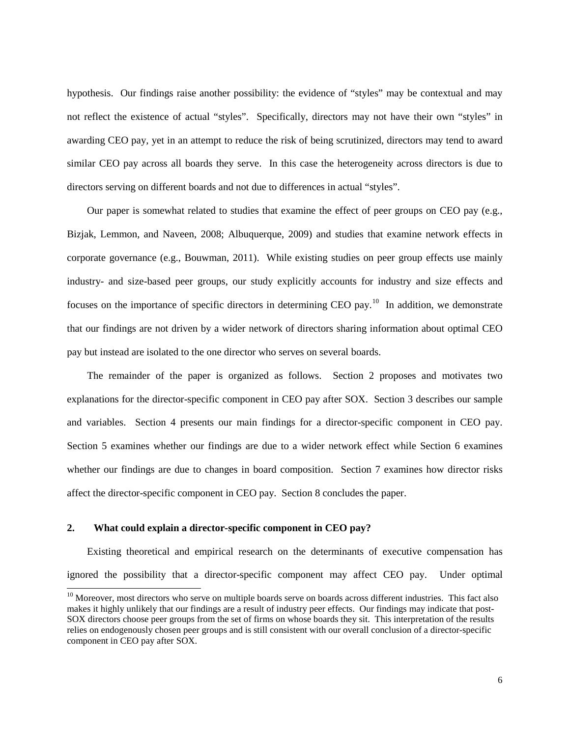hypothesis. Our findings raise another possibility: the evidence of "styles" may be contextual and may not reflect the existence of actual "styles". Specifically, directors may not have their own "styles" in awarding CEO pay, yet in an attempt to reduce the risk of being scrutinized, directors may tend to award similar CEO pay across all boards they serve. In this case the heterogeneity across directors is due to directors serving on different boards and not due to differences in actual "styles".

Our paper is somewhat related to studies that examine the effect of peer groups on CEO pay (e.g., Bizjak, Lemmon, and Naveen, 2008; Albuquerque, 2009) and studies that examine network effects in corporate governance (e.g., Bouwman, 2011). While existing studies on peer group effects use mainly industry- and size-based peer groups, our study explicitly accounts for industry and size effects and focuses on the importance of specific directors in determining CEO pay.<sup>[10](#page-6-0)</sup> In addition, we demonstrate that our findings are not driven by a wider network of directors sharing information about optimal CEO pay but instead are isolated to the one director who serves on several boards.

The remainder of the paper is organized as follows. Section 2 proposes and motivates two explanations for the director-specific component in CEO pay after SOX. Section 3 describes our sample and variables. Section 4 presents our main findings for a director-specific component in CEO pay. Section 5 examines whether our findings are due to a wider network effect while Section 6 examines whether our findings are due to changes in board composition. Section 7 examines how director risks affect the director-specific component in CEO pay. Section 8 concludes the paper.

#### **2. What could explain a director-specific component in CEO pay?**

 $\overline{a}$ 

Existing theoretical and empirical research on the determinants of executive compensation has ignored the possibility that a director-specific component may affect CEO pay. Under optimal

<span id="page-6-0"></span> $10$  Moreover, most directors who serve on multiple boards serve on boards across different industries. This fact also makes it highly unlikely that our findings are a result of industry peer effects. Our findings may indicate that post-SOX directors choose peer groups from the set of firms on whose boards they sit. This interpretation of the results relies on endogenously chosen peer groups and is still consistent with our overall conclusion of a director-specific component in CEO pay after SOX.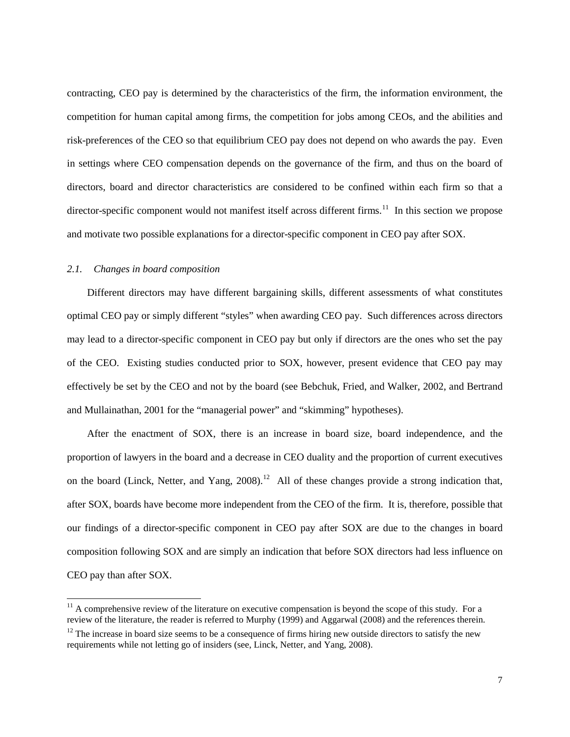contracting, CEO pay is determined by the characteristics of the firm, the information environment, the competition for human capital among firms, the competition for jobs among CEOs, and the abilities and risk-preferences of the CEO so that equilibrium CEO pay does not depend on who awards the pay. Even in settings where CEO compensation depends on the governance of the firm, and thus on the board of directors, board and director characteristics are considered to be confined within each firm so that a director-specific component would not manifest itself across different firms.<sup>11</sup> In this section we propose and motivate two possible explanations for a director-specific component in CEO pay after SOX.

#### *2.1. Changes in board composition*

 $\overline{a}$ 

Different directors may have different bargaining skills, different assessments of what constitutes optimal CEO pay or simply different "styles" when awarding CEO pay. Such differences across directors may lead to a director-specific component in CEO pay but only if directors are the ones who set the pay of the CEO. Existing studies conducted prior to SOX, however, present evidence that CEO pay may effectively be set by the CEO and not by the board (see Bebchuk, Fried, and Walker, 2002, and Bertrand and Mullainathan, 2001 for the "managerial power" and "skimming" hypotheses).

After the enactment of SOX, there is an increase in board size, board independence, and the proportion of lawyers in the board and a decrease in CEO duality and the proportion of current executives on the board (Linck, Netter, and Yang, 2008).<sup>12</sup> All of these changes provide a strong indication that, after SOX, boards have become more independent from the CEO of the firm. It is, therefore, possible that our findings of a director-specific component in CEO pay after SOX are due to the changes in board composition following SOX and are simply an indication that before SOX directors had less influence on CEO pay than after SOX.

<span id="page-7-0"></span> $11$  A comprehensive review of the literature on executive compensation is beyond the scope of this study. For a review of the literature, the reader is referred to Murphy (1999) and Aggarwal (2008) and the references therein.

<span id="page-7-1"></span> $12$  The increase in board size seems to be a consequence of firms hiring new outside directors to satisfy the new requirements while not letting go of insiders (see, Linck, Netter, and Yang, 2008).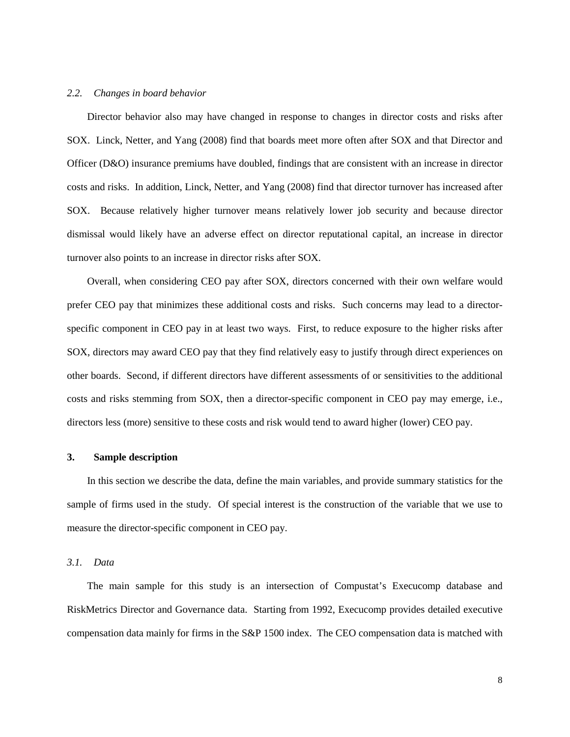#### *2.2. Changes in board behavior*

Director behavior also may have changed in response to changes in director costs and risks after SOX. Linck, Netter, and Yang (2008) find that boards meet more often after SOX and that Director and Officer (D&O) insurance premiums have doubled, findings that are consistent with an increase in director costs and risks. In addition, Linck, Netter, and Yang (2008) find that director turnover has increased after SOX. Because relatively higher turnover means relatively lower job security and because director dismissal would likely have an adverse effect on director reputational capital, an increase in director turnover also points to an increase in director risks after SOX.

Overall, when considering CEO pay after SOX, directors concerned with their own welfare would prefer CEO pay that minimizes these additional costs and risks. Such concerns may lead to a directorspecific component in CEO pay in at least two ways. First, to reduce exposure to the higher risks after SOX, directors may award CEO pay that they find relatively easy to justify through direct experiences on other boards. Second, if different directors have different assessments of or sensitivities to the additional costs and risks stemming from SOX, then a director-specific component in CEO pay may emerge, i.e., directors less (more) sensitive to these costs and risk would tend to award higher (lower) CEO pay.

#### **3. Sample description**

In this section we describe the data, define the main variables, and provide summary statistics for the sample of firms used in the study. Of special interest is the construction of the variable that we use to measure the director-specific component in CEO pay.

#### *3.1. Data*

The main sample for this study is an intersection of Compustat's Execucomp database and RiskMetrics Director and Governance data. Starting from 1992, Execucomp provides detailed executive compensation data mainly for firms in the S&P 1500 index. The CEO compensation data is matched with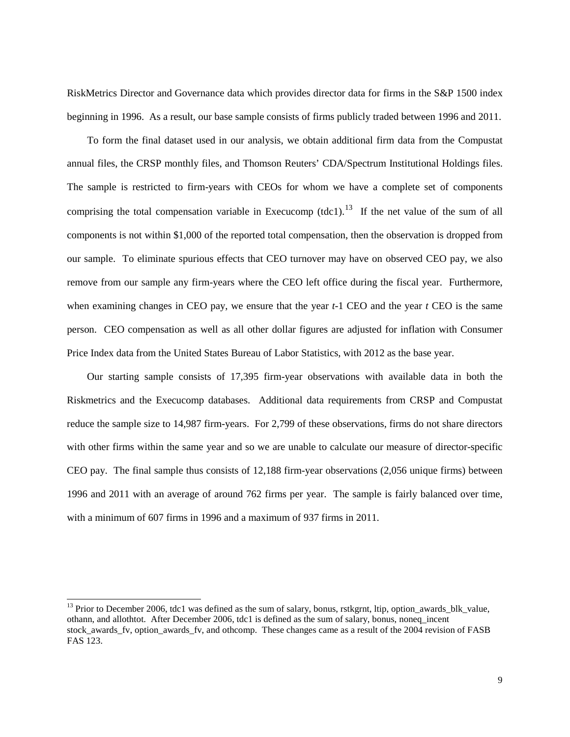RiskMetrics Director and Governance data which provides director data for firms in the S&P 1500 index beginning in 1996. As a result, our base sample consists of firms publicly traded between 1996 and 2011.

To form the final dataset used in our analysis, we obtain additional firm data from the Compustat annual files, the CRSP monthly files, and Thomson Reuters' CDA/Spectrum Institutional Holdings files. The sample is restricted to firm-years with CEOs for whom we have a complete set of components comprising the total compensation variable in Execucomp  $(tdcl)<sup>13</sup>$  $(tdcl)<sup>13</sup>$  $(tdcl)<sup>13</sup>$  If the net value of the sum of all components is not within \$1,000 of the reported total compensation, then the observation is dropped from our sample. To eliminate spurious effects that CEO turnover may have on observed CEO pay, we also remove from our sample any firm-years where the CEO left office during the fiscal year. Furthermore, when examining changes in CEO pay, we ensure that the year *t*-1 CEO and the year *t* CEO is the same person. CEO compensation as well as all other dollar figures are adjusted for inflation with Consumer Price Index data from the United States Bureau of Labor Statistics, with 2012 as the base year.

Our starting sample consists of 17,395 firm-year observations with available data in both the Riskmetrics and the Execucomp databases. Additional data requirements from CRSP and Compustat reduce the sample size to 14,987 firm-years. For 2,799 of these observations, firms do not share directors with other firms within the same year and so we are unable to calculate our measure of director-specific CEO pay. The final sample thus consists of 12,188 firm-year observations (2,056 unique firms) between 1996 and 2011 with an average of around 762 firms per year. The sample is fairly balanced over time, with a minimum of 607 firms in 1996 and a maximum of 937 firms in 2011.

<span id="page-9-0"></span><sup>&</sup>lt;sup>13</sup> Prior to December 2006, tdc1 was defined as the sum of salary, bonus, rstkgrnt, ltip, option\_awards\_blk\_value, othann, and allothtot. After December 2006, tdc1 is defined as the sum of salary, bonus, noneq\_incent stock\_awards\_fv, option\_awards\_fv, and othcomp. These changes came as a result of the 2004 revision of FASB FAS 123.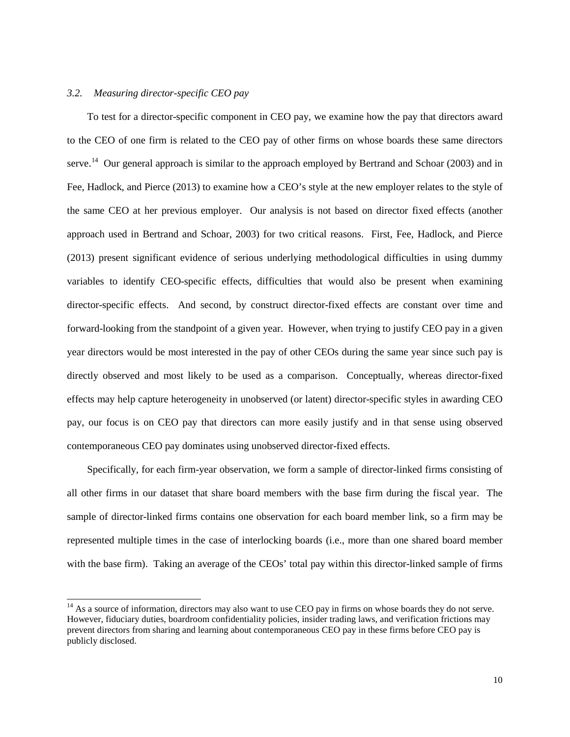#### *3.2. Measuring director-specific CEO pay*

 $\overline{a}$ 

To test for a director-specific component in CEO pay, we examine how the pay that directors award to the CEO of one firm is related to the CEO pay of other firms on whose boards these same directors serve.<sup>[14](#page-10-0)</sup> Our general approach is similar to the approach employed by Bertrand and Schoar (2003) and in Fee, Hadlock, and Pierce (2013) to examine how a CEO's style at the new employer relates to the style of the same CEO at her previous employer. Our analysis is not based on director fixed effects (another approach used in Bertrand and Schoar, 2003) for two critical reasons. First, Fee, Hadlock, and Pierce (2013) present significant evidence of serious underlying methodological difficulties in using dummy variables to identify CEO-specific effects, difficulties that would also be present when examining director-specific effects. And second, by construct director-fixed effects are constant over time and forward-looking from the standpoint of a given year. However, when trying to justify CEO pay in a given year directors would be most interested in the pay of other CEOs during the same year since such pay is directly observed and most likely to be used as a comparison. Conceptually, whereas director-fixed effects may help capture heterogeneity in unobserved (or latent) director-specific styles in awarding CEO pay, our focus is on CEO pay that directors can more easily justify and in that sense using observed contemporaneous CEO pay dominates using unobserved director-fixed effects.

Specifically, for each firm-year observation, we form a sample of director-linked firms consisting of all other firms in our dataset that share board members with the base firm during the fiscal year. The sample of director-linked firms contains one observation for each board member link, so a firm may be represented multiple times in the case of interlocking boards (i.e., more than one shared board member with the base firm). Taking an average of the CEOs' total pay within this director-linked sample of firms

<span id="page-10-0"></span> $14$  As a source of information, directors may also want to use CEO pay in firms on whose boards they do not serve. However, fiduciary duties, boardroom confidentiality policies, insider trading laws, and verification frictions may prevent directors from sharing and learning about contemporaneous CEO pay in these firms before CEO pay is publicly disclosed.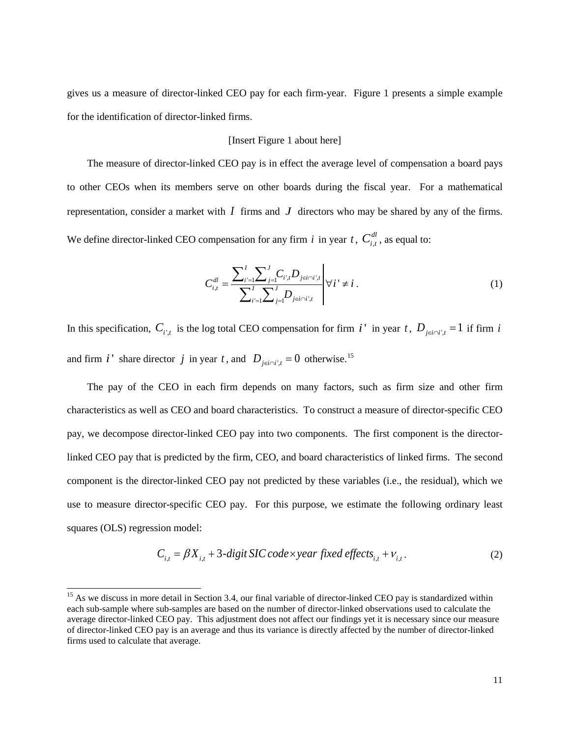gives us a measure of director-linked CEO pay for each firm-year. Figure 1 presents a simple example for the identification of director-linked firms.

## [Insert Figure 1 about here]

The measure of director-linked CEO pay is in effect the average level of compensation a board pays to other CEOs when its members serve on other boards during the fiscal year. For a mathematical representation, consider a market with  $I$  firms and  $J$  directors who may be shared by any of the firms. We define director-linked CEO compensation for any firm *i* in year *t*,  $C_{i,t}^{dl}$ , as equal to:

$$
C_{i,t}^{dl} = \frac{\sum_{i'=1}^{I} \sum_{j=1}^{J} C_{i',t} D_{j \in i \cap i',t}}{\sum_{i'=1}^{I} \sum_{j=1}^{J} D_{j \in i \cap i',t}} \n\forall i' \neq i.
$$
 (1)

In this specification,  $C_{i',t}$  is the log total CEO compensation for firm *i*<sup>'</sup> in year *t*,  $D_{j\in i\cap i',t} = 1$  if firm *i* and firm *i*<sup>'</sup> share director *j* in year *t*, and  $D_{i \in i \cap i' \neq i} = 0$  otherwise.<sup>[15](#page-11-0)</sup>

The pay of the CEO in each firm depends on many factors, such as firm size and other firm characteristics as well as CEO and board characteristics. To construct a measure of director-specific CEO pay, we decompose director-linked CEO pay into two components. The first component is the directorlinked CEO pay that is predicted by the firm, CEO, and board characteristics of linked firms. The second component is the director-linked CEO pay not predicted by these variables (i.e., the residual), which we use to measure director-specific CEO pay. For this purpose, we estimate the following ordinary least squares (OLS) regression model:

$$
C_{i,t} = \beta X_{i,t} + 3 \text{-digit SIC code} \times \text{year fixed effects}_{i,t} + v_{i,t}. \tag{2}
$$

<span id="page-11-0"></span> $15$  As we discuss in more detail in Section 3.4, our final variable of director-linked CEO pay is standardized within each sub-sample where sub-samples are based on the number of director-linked observations used to calculate the average director-linked CEO pay. This adjustment does not affect our findings yet it is necessary since our measure of director-linked CEO pay is an average and thus its variance is directly affected by the number of director-linked firms used to calculate that average.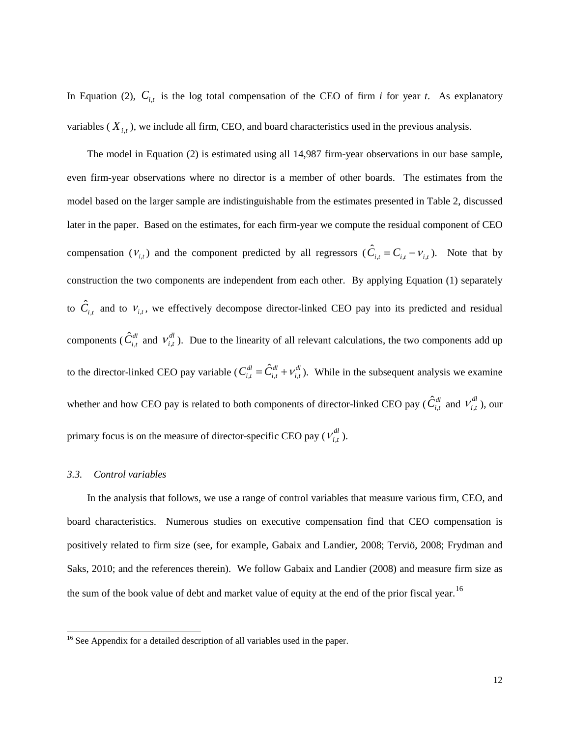In Equation (2),  $C_{i,t}$  is the log total compensation of the CEO of firm *i* for year *t*. As explanatory variables  $(X_{i,t})$ , we include all firm, CEO, and board characteristics used in the previous analysis.

The model in Equation (2) is estimated using all 14,987 firm-year observations in our base sample, even firm-year observations where no director is a member of other boards. The estimates from the model based on the larger sample are indistinguishable from the estimates presented in Table 2, discussed later in the paper. Based on the estimates, for each firm-year we compute the residual component of CEO compensation  $(V_{i,t})$  and the component predicted by all regressors  $(\hat{C}_{i,t} = C_{i,t} - V_{i,t})$ . Note that by construction the two components are independent from each other. By applying Equation (1) separately to  $\hat{C}_{i,t}$  and to  $V_{i,t}$ , we effectively decompose director-linked CEO pay into its predicted and residual components ( $\hat{C}_{i,t}^{dl}$  and  $V_{i,t}^{dl}$ ). Due to the linearity of all relevant calculations, the two components add up to the director-linked CEO pay variable ( $C_{i,t}^{dl} = \hat{C}_{i,t}^{dl} + V_{i,t}^{dl}$ ). While in the subsequent analysis we examine whether and how CEO pay is related to both components of director-linked CEO pay ( $\hat{C}_{i,t}^{dl}$  and  $v_{i,t}^{dl}$ ), our primary focus is on the measure of director-specific CEO pay  $(V_{i,t}^{dl})$ .

#### *3.3. Control variables*

 $\overline{a}$ 

In the analysis that follows, we use a range of control variables that measure various firm, CEO, and board characteristics. Numerous studies on executive compensation find that CEO compensation is positively related to firm size (see, for example, Gabaix and Landier, 2008; Terviö, 2008; Frydman and Saks, 2010; and the references therein). We follow Gabaix and Landier (2008) and measure firm size as the sum of the book value of debt and market value of equity at the end of the prior fiscal year.<sup>[16](#page-12-0)</sup>

<span id="page-12-0"></span><sup>&</sup>lt;sup>16</sup> See Appendix for a detailed description of all variables used in the paper.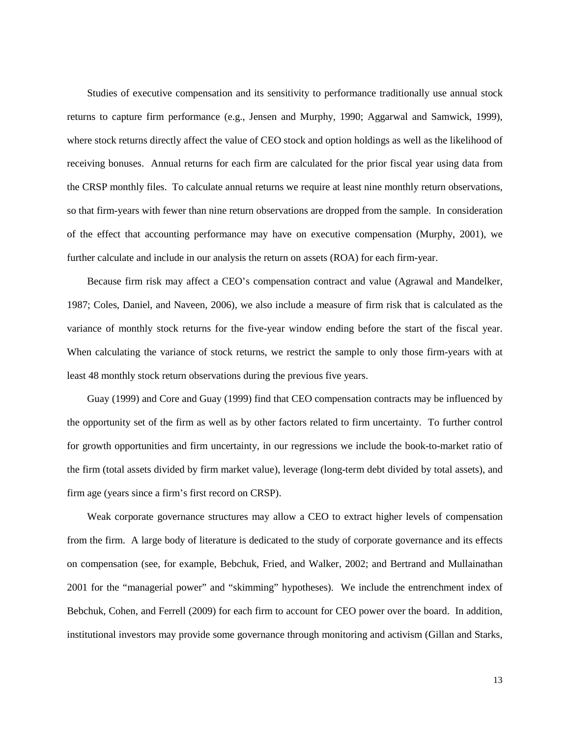Studies of executive compensation and its sensitivity to performance traditionally use annual stock returns to capture firm performance (e.g., Jensen and Murphy, 1990; Aggarwal and Samwick, 1999), where stock returns directly affect the value of CEO stock and option holdings as well as the likelihood of receiving bonuses. Annual returns for each firm are calculated for the prior fiscal year using data from the CRSP monthly files. To calculate annual returns we require at least nine monthly return observations, so that firm-years with fewer than nine return observations are dropped from the sample. In consideration of the effect that accounting performance may have on executive compensation (Murphy, 2001), we further calculate and include in our analysis the return on assets (ROA) for each firm-year.

Because firm risk may affect a CEO's compensation contract and value (Agrawal and Mandelker, 1987; Coles, Daniel, and Naveen, 2006), we also include a measure of firm risk that is calculated as the variance of monthly stock returns for the five-year window ending before the start of the fiscal year. When calculating the variance of stock returns, we restrict the sample to only those firm-years with at least 48 monthly stock return observations during the previous five years.

Guay (1999) and Core and Guay (1999) find that CEO compensation contracts may be influenced by the opportunity set of the firm as well as by other factors related to firm uncertainty. To further control for growth opportunities and firm uncertainty, in our regressions we include the book-to-market ratio of the firm (total assets divided by firm market value), leverage (long-term debt divided by total assets), and firm age (years since a firm's first record on CRSP).

Weak corporate governance structures may allow a CEO to extract higher levels of compensation from the firm. A large body of literature is dedicated to the study of corporate governance and its effects on compensation (see, for example, Bebchuk, Fried, and Walker, 2002; and Bertrand and Mullainathan 2001 for the "managerial power" and "skimming" hypotheses). We include the entrenchment index of Bebchuk, Cohen, and Ferrell (2009) for each firm to account for CEO power over the board. In addition, institutional investors may provide some governance through monitoring and activism (Gillan and Starks,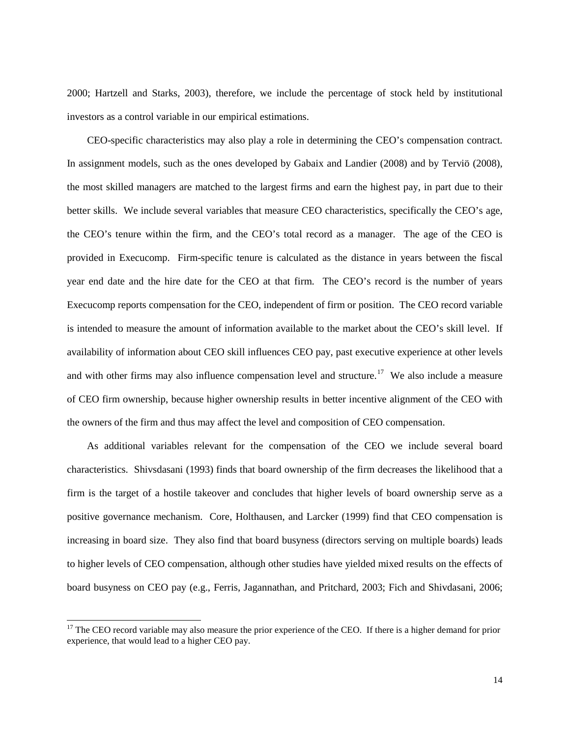2000; Hartzell and Starks, 2003), therefore, we include the percentage of stock held by institutional investors as a control variable in our empirical estimations.

CEO-specific characteristics may also play a role in determining the CEO's compensation contract. In assignment models, such as the ones developed by Gabaix and Landier (2008) and by Terviö (2008), the most skilled managers are matched to the largest firms and earn the highest pay, in part due to their better skills. We include several variables that measure CEO characteristics, specifically the CEO's age, the CEO's tenure within the firm, and the CEO's total record as a manager. The age of the CEO is provided in Execucomp. Firm-specific tenure is calculated as the distance in years between the fiscal year end date and the hire date for the CEO at that firm. The CEO's record is the number of years Execucomp reports compensation for the CEO, independent of firm or position. The CEO record variable is intended to measure the amount of information available to the market about the CEO's skill level. If availability of information about CEO skill influences CEO pay, past executive experience at other levels and with other firms may also influence compensation level and structure.<sup>[17](#page-14-0)</sup> We also include a measure of CEO firm ownership, because higher ownership results in better incentive alignment of the CEO with the owners of the firm and thus may affect the level and composition of CEO compensation.

As additional variables relevant for the compensation of the CEO we include several board characteristics. Shivsdasani (1993) finds that board ownership of the firm decreases the likelihood that a firm is the target of a hostile takeover and concludes that higher levels of board ownership serve as a positive governance mechanism. Core, Holthausen, and Larcker (1999) find that CEO compensation is increasing in board size. They also find that board busyness (directors serving on multiple boards) leads to higher levels of CEO compensation, although other studies have yielded mixed results on the effects of board busyness on CEO pay (e.g., Ferris, Jagannathan, and Pritchard, 2003; Fich and Shivdasani, 2006;

<span id="page-14-0"></span><sup>&</sup>lt;sup>17</sup> The CEO record variable may also measure the prior experience of the CEO. If there is a higher demand for prior experience, that would lead to a higher CEO pay.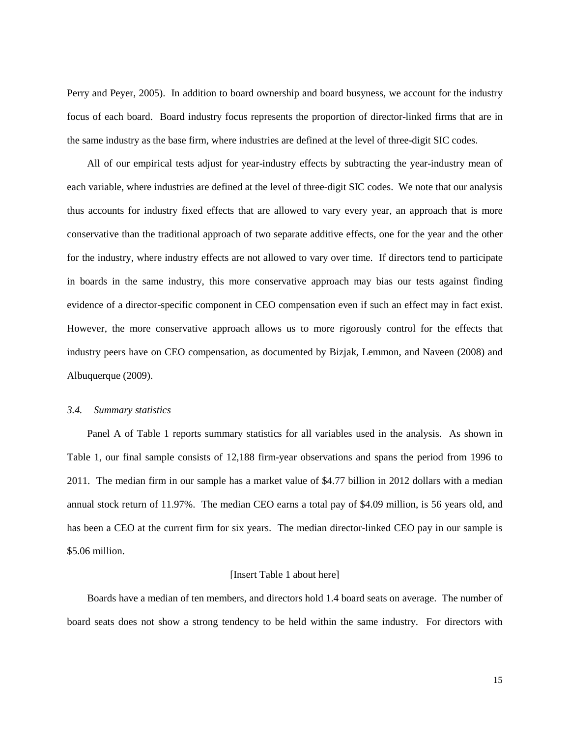Perry and Peyer, 2005). In addition to board ownership and board busyness, we account for the industry focus of each board. Board industry focus represents the proportion of director-linked firms that are in the same industry as the base firm, where industries are defined at the level of three-digit SIC codes.

All of our empirical tests adjust for year-industry effects by subtracting the year-industry mean of each variable, where industries are defined at the level of three-digit SIC codes. We note that our analysis thus accounts for industry fixed effects that are allowed to vary every year, an approach that is more conservative than the traditional approach of two separate additive effects, one for the year and the other for the industry, where industry effects are not allowed to vary over time. If directors tend to participate in boards in the same industry, this more conservative approach may bias our tests against finding evidence of a director-specific component in CEO compensation even if such an effect may in fact exist. However, the more conservative approach allows us to more rigorously control for the effects that industry peers have on CEO compensation, as documented by Bizjak, Lemmon, and Naveen (2008) and Albuquerque (2009).

#### *3.4. Summary statistics*

Panel A of Table 1 reports summary statistics for all variables used in the analysis. As shown in Table 1, our final sample consists of 12,188 firm-year observations and spans the period from 1996 to 2011. The median firm in our sample has a market value of \$4.77 billion in 2012 dollars with a median annual stock return of 11.97%. The median CEO earns a total pay of \$4.09 million, is 56 years old, and has been a CEO at the current firm for six years. The median director-linked CEO pay in our sample is \$5.06 million.

#### [Insert Table 1 about here]

Boards have a median of ten members, and directors hold 1.4 board seats on average. The number of board seats does not show a strong tendency to be held within the same industry. For directors with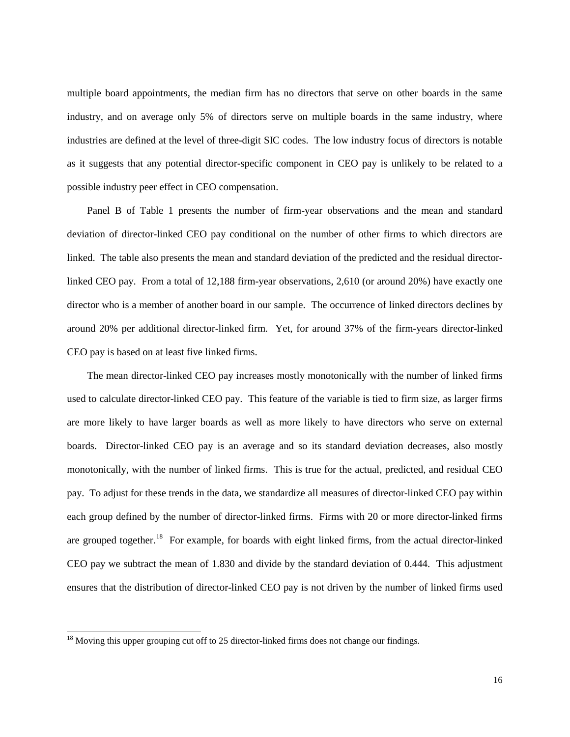multiple board appointments, the median firm has no directors that serve on other boards in the same industry, and on average only 5% of directors serve on multiple boards in the same industry, where industries are defined at the level of three-digit SIC codes. The low industry focus of directors is notable as it suggests that any potential director-specific component in CEO pay is unlikely to be related to a possible industry peer effect in CEO compensation.

Panel B of Table 1 presents the number of firm-year observations and the mean and standard deviation of director-linked CEO pay conditional on the number of other firms to which directors are linked. The table also presents the mean and standard deviation of the predicted and the residual directorlinked CEO pay. From a total of 12,188 firm-year observations, 2,610 (or around 20%) have exactly one director who is a member of another board in our sample. The occurrence of linked directors declines by around 20% per additional director-linked firm. Yet, for around 37% of the firm-years director-linked CEO pay is based on at least five linked firms.

The mean director-linked CEO pay increases mostly monotonically with the number of linked firms used to calculate director-linked CEO pay. This feature of the variable is tied to firm size, as larger firms are more likely to have larger boards as well as more likely to have directors who serve on external boards. Director-linked CEO pay is an average and so its standard deviation decreases, also mostly monotonically, with the number of linked firms. This is true for the actual, predicted, and residual CEO pay. To adjust for these trends in the data, we standardize all measures of director-linked CEO pay within each group defined by the number of director-linked firms. Firms with 20 or more director-linked firms are grouped together.<sup>18</sup> For example, for boards with eight linked firms, from the actual director-linked CEO pay we subtract the mean of 1.830 and divide by the standard deviation of 0.444. This adjustment ensures that the distribution of director-linked CEO pay is not driven by the number of linked firms used

<span id="page-16-0"></span> $18$  Moving this upper grouping cut off to 25 director-linked firms does not change our findings.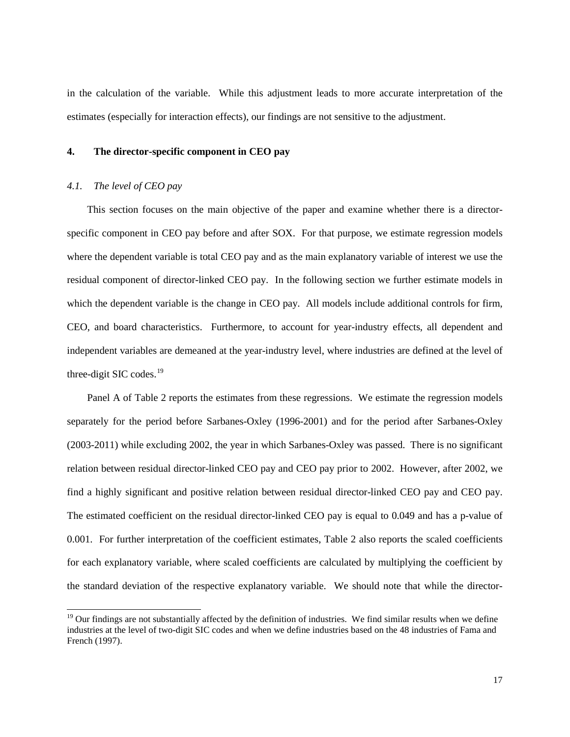in the calculation of the variable. While this adjustment leads to more accurate interpretation of the estimates (especially for interaction effects), our findings are not sensitive to the adjustment.

## **4. The director-specific component in CEO pay**

#### *4.1. The level of CEO pay*

 $\overline{a}$ 

This section focuses on the main objective of the paper and examine whether there is a directorspecific component in CEO pay before and after SOX. For that purpose, we estimate regression models where the dependent variable is total CEO pay and as the main explanatory variable of interest we use the residual component of director-linked CEO pay. In the following section we further estimate models in which the dependent variable is the change in CEO pay. All models include additional controls for firm, CEO, and board characteristics. Furthermore, to account for year-industry effects, all dependent and independent variables are demeaned at the year-industry level, where industries are defined at the level of three-digit SIC codes.<sup>[19](#page-17-0)</sup>

Panel A of Table 2 reports the estimates from these regressions. We estimate the regression models separately for the period before Sarbanes-Oxley (1996-2001) and for the period after Sarbanes-Oxley (2003-2011) while excluding 2002, the year in which Sarbanes-Oxley was passed. There is no significant relation between residual director-linked CEO pay and CEO pay prior to 2002. However, after 2002, we find a highly significant and positive relation between residual director-linked CEO pay and CEO pay. The estimated coefficient on the residual director-linked CEO pay is equal to 0.049 and has a p-value of 0.001. For further interpretation of the coefficient estimates, Table 2 also reports the scaled coefficients for each explanatory variable, where scaled coefficients are calculated by multiplying the coefficient by the standard deviation of the respective explanatory variable. We should note that while the director-

<span id="page-17-0"></span> $19$  Our findings are not substantially affected by the definition of industries. We find similar results when we define industries at the level of two-digit SIC codes and when we define industries based on the 48 industries of Fama and French (1997).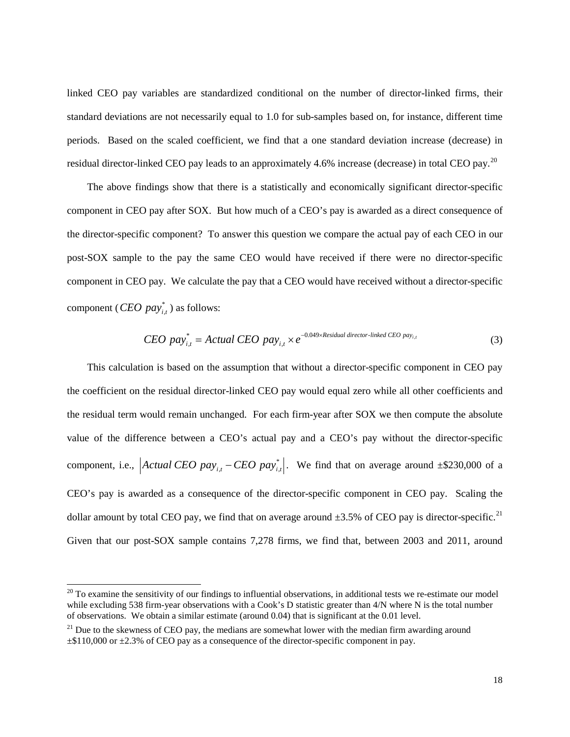linked CEO pay variables are standardized conditional on the number of director-linked firms, their standard deviations are not necessarily equal to 1.0 for sub-samples based on, for instance, different time periods. Based on the scaled coefficient, we find that a one standard deviation increase (decrease) in residual director-linked CEO pay leads to an approximately 4.6% increase (decrease) in total CEO pay.<sup>[20](#page-18-0)</sup>

The above findings show that there is a statistically and economically significant director-specific component in CEO pay after SOX. But how much of a CEO's pay is awarded as a direct consequence of the director-specific component? To answer this question we compare the actual pay of each CEO in our post-SOX sample to the pay the same CEO would have received if there were no director-specific component in CEO pay. We calculate the pay that a CEO would have received without a director-specific component ( $\overline{CEO}$  *pay*<sub>*i*, )</sub> as follows:

$$
CEO\ pay_{i,t}^* = Actual\ CEO\ pay_{i,t} \times e^{-0.049 \times Residual\ director\-linked\ CEO\ pay_{i,t}}
$$
\n
$$
(3)
$$

This calculation is based on the assumption that without a director-specific component in CEO pay the coefficient on the residual director-linked CEO pay would equal zero while all other coefficients and the residual term would remain unchanged. For each firm-year after SOX we then compute the absolute value of the difference between a CEO's actual pay and a CEO's pay without the director-specific component, i.e.,  $|Actual CEO pay_{i,t} - CEO pay_{i,t}^*|$ . We find that on average around ±\$230,000 of a CEO's pay is awarded as a consequence of the director-specific component in CEO pay. Scaling the dollar amount by total CEO pay, we find that on average around  $\pm 3.5\%$  of CEO pay is director-specific.<sup>[21](#page-18-1)</sup> Given that our post-SOX sample contains 7,278 firms, we find that, between 2003 and 2011, around

<span id="page-18-0"></span> $20$  To examine the sensitivity of our findings to influential observations, in additional tests we re-estimate our model while excluding 538 firm-year observations with a Cook's D statistic greater than 4/N where N is the total number of observations. We obtain a similar estimate (around 0.04) that is significant at the 0.01 level.

<span id="page-18-1"></span> $21$  Due to the skewness of CEO pay, the medians are somewhat lower with the median firm awarding around  $\pm$ \$110,000 or  $\pm$ 2.3% of CEO pay as a consequence of the director-specific component in pay.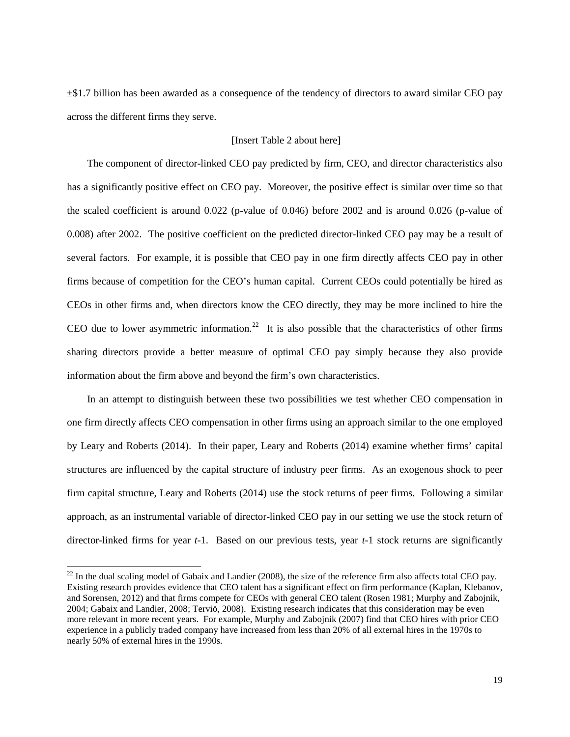±\$1.7 billion has been awarded as a consequence of the tendency of directors to award similar CEO pay across the different firms they serve.

## [Insert Table 2 about here]

The component of director-linked CEO pay predicted by firm, CEO, and director characteristics also has a significantly positive effect on CEO pay. Moreover, the positive effect is similar over time so that the scaled coefficient is around 0.022 (p-value of 0.046) before 2002 and is around 0.026 (p-value of 0.008) after 2002. The positive coefficient on the predicted director-linked CEO pay may be a result of several factors. For example, it is possible that CEO pay in one firm directly affects CEO pay in other firms because of competition for the CEO's human capital. Current CEOs could potentially be hired as CEOs in other firms and, when directors know the CEO directly, they may be more inclined to hire the CEO due to lower asymmetric information.<sup>[22](#page-19-0)</sup> It is also possible that the characteristics of other firms sharing directors provide a better measure of optimal CEO pay simply because they also provide information about the firm above and beyond the firm's own characteristics.

In an attempt to distinguish between these two possibilities we test whether CEO compensation in one firm directly affects CEO compensation in other firms using an approach similar to the one employed by Leary and Roberts (2014). In their paper, Leary and Roberts (2014) examine whether firms' capital structures are influenced by the capital structure of industry peer firms. As an exogenous shock to peer firm capital structure, Leary and Roberts (2014) use the stock returns of peer firms. Following a similar approach, as an instrumental variable of director-linked CEO pay in our setting we use the stock return of director-linked firms for year *t*-1. Based on our previous tests, year *t*-1 stock returns are significantly

<span id="page-19-0"></span> $^{22}$  In the dual scaling model of Gabaix and Landier (2008), the size of the reference firm also affects total CEO pay. Existing research provides evidence that CEO talent has a significant effect on firm performance (Kaplan, Klebanov, and Sorensen, 2012) and that firms compete for CEOs with general CEO talent (Rosen 1981; Murphy and Zabojnik, 2004; Gabaix and Landier, 2008; Terviö, 2008). Existing research indicates that this consideration may be even more relevant in more recent years. For example, Murphy and Zabojnik (2007) find that CEO hires with prior CEO experience in a publicly traded company have increased from less than 20% of all external hires in the 1970s to nearly 50% of external hires in the 1990s.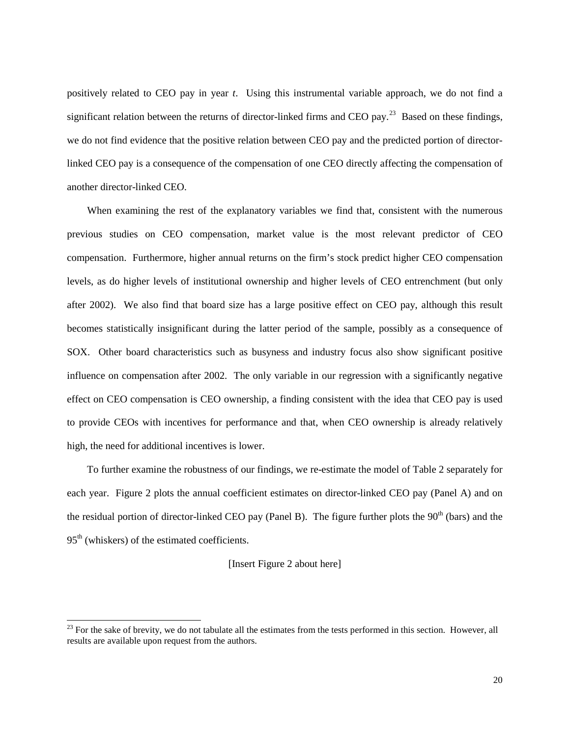positively related to CEO pay in year *t*. Using this instrumental variable approach, we do not find a significant relation between the returns of director-linked firms and CEO pay.<sup>[23](#page-20-0)</sup> Based on these findings, we do not find evidence that the positive relation between CEO pay and the predicted portion of directorlinked CEO pay is a consequence of the compensation of one CEO directly affecting the compensation of another director-linked CEO.

When examining the rest of the explanatory variables we find that, consistent with the numerous previous studies on CEO compensation, market value is the most relevant predictor of CEO compensation. Furthermore, higher annual returns on the firm's stock predict higher CEO compensation levels, as do higher levels of institutional ownership and higher levels of CEO entrenchment (but only after 2002). We also find that board size has a large positive effect on CEO pay, although this result becomes statistically insignificant during the latter period of the sample, possibly as a consequence of SOX. Other board characteristics such as busyness and industry focus also show significant positive influence on compensation after 2002. The only variable in our regression with a significantly negative effect on CEO compensation is CEO ownership, a finding consistent with the idea that CEO pay is used to provide CEOs with incentives for performance and that, when CEO ownership is already relatively high, the need for additional incentives is lower.

To further examine the robustness of our findings, we re-estimate the model of Table 2 separately for each year. Figure 2 plots the annual coefficient estimates on director-linked CEO pay (Panel A) and on the residual portion of director-linked CEO pay (Panel B). The figure further plots the  $90<sup>th</sup>$  (bars) and the  $95<sup>th</sup>$  (whiskers) of the estimated coefficients.

## [Insert Figure 2 about here]

<span id="page-20-0"></span> $23$  For the sake of brevity, we do not tabulate all the estimates from the tests performed in this section. However, all results are available upon request from the authors.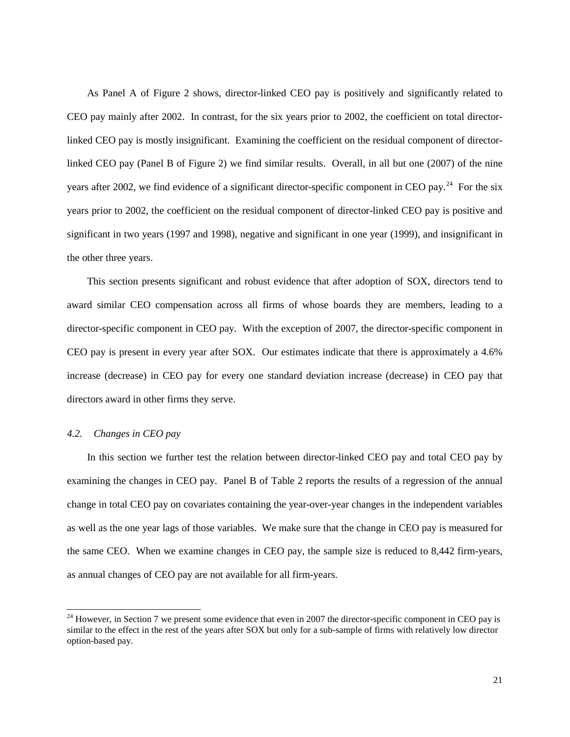As Panel A of Figure 2 shows, director-linked CEO pay is positively and significantly related to CEO pay mainly after 2002. In contrast, for the six years prior to 2002, the coefficient on total directorlinked CEO pay is mostly insignificant. Examining the coefficient on the residual component of directorlinked CEO pay (Panel B of Figure 2) we find similar results. Overall, in all but one (2007) of the nine years after 2002, we find evidence of a significant director-specific component in CEO pay.<sup>[24](#page-21-0)</sup> For the six years prior to 2002, the coefficient on the residual component of director-linked CEO pay is positive and significant in two years (1997 and 1998), negative and significant in one year (1999), and insignificant in the other three years.

This section presents significant and robust evidence that after adoption of SOX, directors tend to award similar CEO compensation across all firms of whose boards they are members, leading to a director-specific component in CEO pay. With the exception of 2007, the director-specific component in CEO pay is present in every year after SOX. Our estimates indicate that there is approximately a 4.6% increase (decrease) in CEO pay for every one standard deviation increase (decrease) in CEO pay that directors award in other firms they serve.

#### *4.2. Changes in CEO pay*

 $\overline{a}$ 

In this section we further test the relation between director-linked CEO pay and total CEO pay by examining the changes in CEO pay. Panel B of Table 2 reports the results of a regression of the annual change in total CEO pay on covariates containing the year-over-year changes in the independent variables as well as the one year lags of those variables. We make sure that the change in CEO pay is measured for the same CEO. When we examine changes in CEO pay, the sample size is reduced to 8,442 firm-years, as annual changes of CEO pay are not available for all firm-years.

<span id="page-21-0"></span> $24$  However, in Section 7 we present some evidence that even in 2007 the director-specific component in CEO pay is similar to the effect in the rest of the years after SOX but only for a sub-sample of firms with relatively low director option-based pay.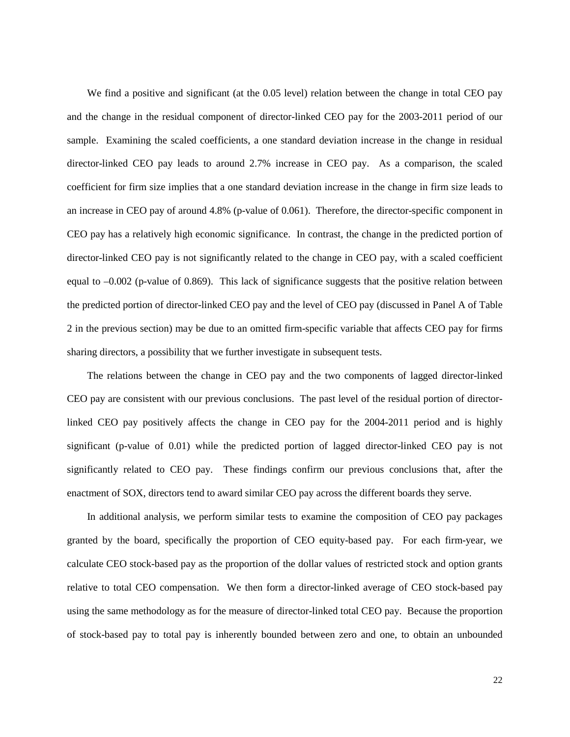We find a positive and significant (at the 0.05 level) relation between the change in total CEO pay and the change in the residual component of director-linked CEO pay for the 2003-2011 period of our sample. Examining the scaled coefficients, a one standard deviation increase in the change in residual director-linked CEO pay leads to around 2.7% increase in CEO pay. As a comparison, the scaled coefficient for firm size implies that a one standard deviation increase in the change in firm size leads to an increase in CEO pay of around 4.8% (p-value of 0.061). Therefore, the director-specific component in CEO pay has a relatively high economic significance. In contrast, the change in the predicted portion of director-linked CEO pay is not significantly related to the change in CEO pay, with a scaled coefficient equal to –0.002 (p-value of 0.869). This lack of significance suggests that the positive relation between the predicted portion of director-linked CEO pay and the level of CEO pay (discussed in Panel A of Table 2 in the previous section) may be due to an omitted firm-specific variable that affects CEO pay for firms sharing directors, a possibility that we further investigate in subsequent tests.

The relations between the change in CEO pay and the two components of lagged director-linked CEO pay are consistent with our previous conclusions. The past level of the residual portion of directorlinked CEO pay positively affects the change in CEO pay for the 2004-2011 period and is highly significant (p-value of 0.01) while the predicted portion of lagged director-linked CEO pay is not significantly related to CEO pay. These findings confirm our previous conclusions that, after the enactment of SOX, directors tend to award similar CEO pay across the different boards they serve.

In additional analysis, we perform similar tests to examine the composition of CEO pay packages granted by the board, specifically the proportion of CEO equity-based pay. For each firm-year, we calculate CEO stock-based pay as the proportion of the dollar values of restricted stock and option grants relative to total CEO compensation. We then form a director-linked average of CEO stock-based pay using the same methodology as for the measure of director-linked total CEO pay. Because the proportion of stock-based pay to total pay is inherently bounded between zero and one, to obtain an unbounded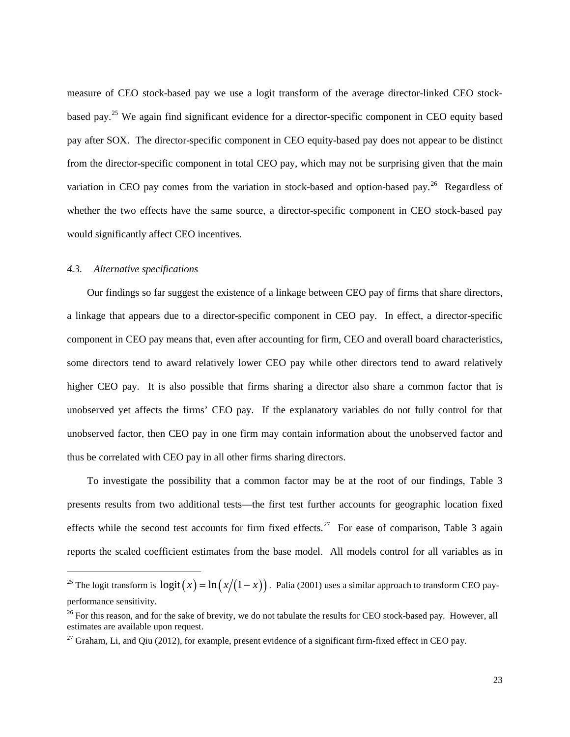measure of CEO stock-based pay we use a logit transform of the average director-linked CEO stockbased pay.[25](#page-23-0) We again find significant evidence for a director-specific component in CEO equity based pay after SOX. The director-specific component in CEO equity-based pay does not appear to be distinct from the director-specific component in total CEO pay, which may not be surprising given that the main variation in CEO pay comes from the variation in stock-based and option-based pay.<sup>[26](#page-23-1)</sup> Regardless of whether the two effects have the same source, a director-specific component in CEO stock-based pay would significantly affect CEO incentives.

#### *4.3. Alternative specifications*

 $\overline{a}$ 

Our findings so far suggest the existence of a linkage between CEO pay of firms that share directors, a linkage that appears due to a director-specific component in CEO pay. In effect, a director-specific component in CEO pay means that, even after accounting for firm, CEO and overall board characteristics, some directors tend to award relatively lower CEO pay while other directors tend to award relatively higher CEO pay. It is also possible that firms sharing a director also share a common factor that is unobserved yet affects the firms' CEO pay. If the explanatory variables do not fully control for that unobserved factor, then CEO pay in one firm may contain information about the unobserved factor and thus be correlated with CEO pay in all other firms sharing directors.

To investigate the possibility that a common factor may be at the root of our findings, Table 3 presents results from two additional tests—the first test further accounts for geographic location fixed effects while the second test accounts for firm fixed effects.<sup>27</sup> For ease of comparison, Table 3 again reports the scaled coefficient estimates from the base model. All models control for all variables as in

<span id="page-23-0"></span><sup>&</sup>lt;sup>25</sup> The logit transform is  $logit ( x ) = ln ( x / (1 - x ) )$ . Palia (2001) uses a similar approach to transform CEO payperformance sensitivity.

<span id="page-23-1"></span><sup>&</sup>lt;sup>26</sup> For this reason, and for the sake of brevity, we do not tabulate the results for CEO stock-based pay. However, all estimates are available upon request.

<span id="page-23-2"></span><sup>&</sup>lt;sup>27</sup> Graham, Li, and Qiu (2012), for example, present evidence of a significant firm-fixed effect in CEO pay.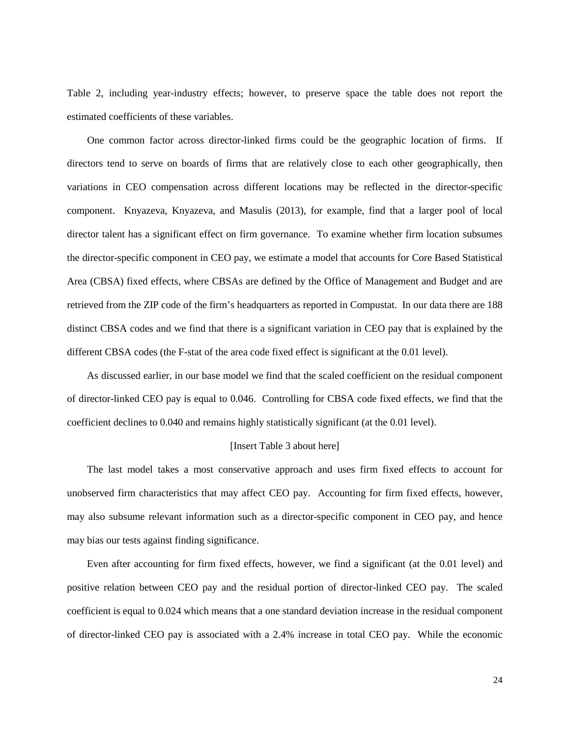Table 2, including year-industry effects; however, to preserve space the table does not report the estimated coefficients of these variables.

One common factor across director-linked firms could be the geographic location of firms. If directors tend to serve on boards of firms that are relatively close to each other geographically, then variations in CEO compensation across different locations may be reflected in the director-specific component. Knyazeva, Knyazeva, and Masulis (2013), for example, find that a larger pool of local director talent has a significant effect on firm governance. To examine whether firm location subsumes the director-specific component in CEO pay, we estimate a model that accounts for Core Based Statistical Area (CBSA) fixed effects, where CBSAs are defined by the Office of Management and Budget and are retrieved from the ZIP code of the firm's headquarters as reported in Compustat. In our data there are 188 distinct CBSA codes and we find that there is a significant variation in CEO pay that is explained by the different CBSA codes (the F-stat of the area code fixed effect is significant at the 0.01 level).

As discussed earlier, in our base model we find that the scaled coefficient on the residual component of director-linked CEO pay is equal to 0.046. Controlling for CBSA code fixed effects, we find that the coefficient declines to 0.040 and remains highly statistically significant (at the 0.01 level).

#### [Insert Table 3 about here]

The last model takes a most conservative approach and uses firm fixed effects to account for unobserved firm characteristics that may affect CEO pay. Accounting for firm fixed effects, however, may also subsume relevant information such as a director-specific component in CEO pay, and hence may bias our tests against finding significance.

Even after accounting for firm fixed effects, however, we find a significant (at the 0.01 level) and positive relation between CEO pay and the residual portion of director-linked CEO pay. The scaled coefficient is equal to 0.024 which means that a one standard deviation increase in the residual component of director-linked CEO pay is associated with a 2.4% increase in total CEO pay. While the economic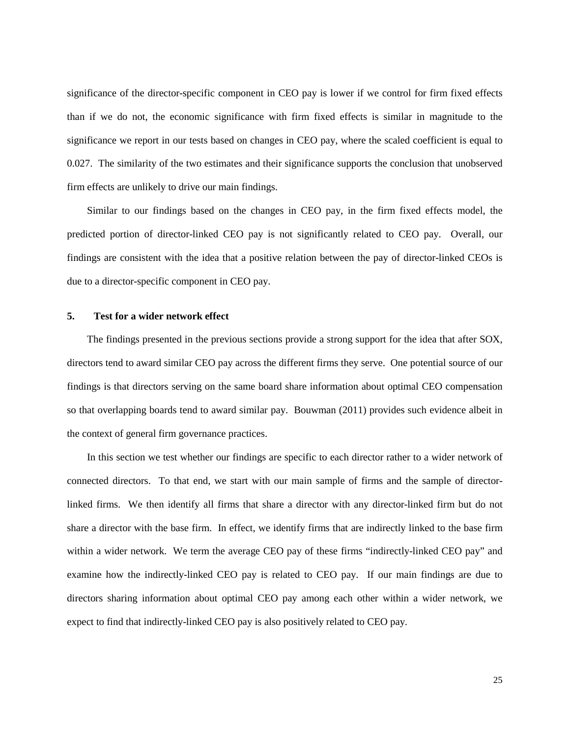significance of the director-specific component in CEO pay is lower if we control for firm fixed effects than if we do not, the economic significance with firm fixed effects is similar in magnitude to the significance we report in our tests based on changes in CEO pay, where the scaled coefficient is equal to 0.027. The similarity of the two estimates and their significance supports the conclusion that unobserved firm effects are unlikely to drive our main findings.

Similar to our findings based on the changes in CEO pay, in the firm fixed effects model, the predicted portion of director-linked CEO pay is not significantly related to CEO pay. Overall, our findings are consistent with the idea that a positive relation between the pay of director-linked CEOs is due to a director-specific component in CEO pay.

#### **5. Test for a wider network effect**

The findings presented in the previous sections provide a strong support for the idea that after SOX, directors tend to award similar CEO pay across the different firms they serve. One potential source of our findings is that directors serving on the same board share information about optimal CEO compensation so that overlapping boards tend to award similar pay. Bouwman (2011) provides such evidence albeit in the context of general firm governance practices.

In this section we test whether our findings are specific to each director rather to a wider network of connected directors. To that end, we start with our main sample of firms and the sample of directorlinked firms. We then identify all firms that share a director with any director-linked firm but do not share a director with the base firm. In effect, we identify firms that are indirectly linked to the base firm within a wider network. We term the average CEO pay of these firms "indirectly-linked CEO pay" and examine how the indirectly-linked CEO pay is related to CEO pay. If our main findings are due to directors sharing information about optimal CEO pay among each other within a wider network, we expect to find that indirectly-linked CEO pay is also positively related to CEO pay.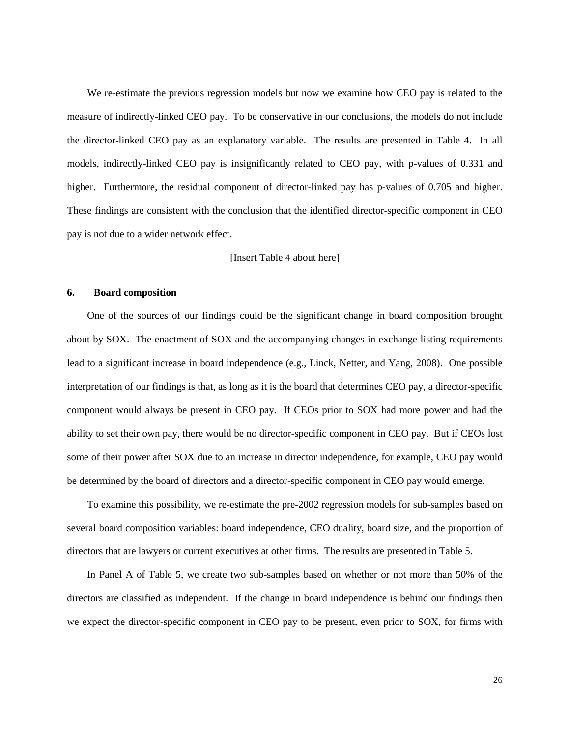We re-estimate the previous regression models but now we examine how CEO pay is related to the measure of indirectly-linked CEO pay. To be conservative in our conclusions, the models do not include the director-linked CEO pay as an explanatory variable. The results are presented in Table 4. In all models, indirectly-linked CEO pay is insignificantly related to CEO pay, with p-values of 0.331 and higher. Furthermore, the residual component of director-linked pay has p-values of 0.705 and higher. These findings are consistent with the conclusion that the identified director-specific component in CEO pay is not due to a wider network effect.

#### [Insert Table 4 about here]

#### **6. Board composition**

One of the sources of our findings could be the significant change in board composition brought about by SOX. The enactment of SOX and the accompanying changes in exchange listing requirements lead to a significant increase in board independence (e.g., Linck, Netter, and Yang, 2008). One possible interpretation of our findings is that, as long as it is the board that determines CEO pay, a director-specific component would always be present in CEO pay. If CEOs prior to SOX had more power and had the ability to set their own pay, there would be no director-specific component in CEO pay. But if CEOs lost some of their power after SOX due to an increase in director independence, for example, CEO pay would be determined by the board of directors and a director-specific component in CEO pay would emerge.

To examine this possibility, we re-estimate the pre-2002 regression models for sub-samples based on several board composition variables: board independence, CEO duality, board size, and the proportion of directors that are lawyers or current executives at other firms. The results are presented in Table 5.

In Panel A of Table 5, we create two sub-samples based on whether or not more than 50% of the directors are classified as independent. If the change in board independence is behind our findings then we expect the director-specific component in CEO pay to be present, even prior to SOX, for firms with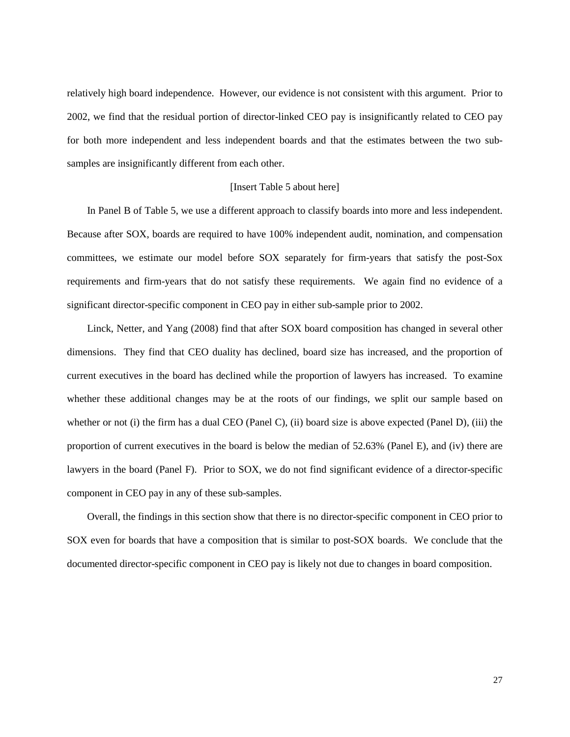relatively high board independence. However, our evidence is not consistent with this argument. Prior to 2002, we find that the residual portion of director-linked CEO pay is insignificantly related to CEO pay for both more independent and less independent boards and that the estimates between the two subsamples are insignificantly different from each other.

#### [Insert Table 5 about here]

In Panel B of Table 5, we use a different approach to classify boards into more and less independent. Because after SOX, boards are required to have 100% independent audit, nomination, and compensation committees, we estimate our model before SOX separately for firm-years that satisfy the post-Sox requirements and firm-years that do not satisfy these requirements. We again find no evidence of a significant director-specific component in CEO pay in either sub-sample prior to 2002.

Linck, Netter, and Yang (2008) find that after SOX board composition has changed in several other dimensions. They find that CEO duality has declined, board size has increased, and the proportion of current executives in the board has declined while the proportion of lawyers has increased. To examine whether these additional changes may be at the roots of our findings, we split our sample based on whether or not (i) the firm has a dual CEO (Panel C), (ii) board size is above expected (Panel D), (iii) the proportion of current executives in the board is below the median of 52.63% (Panel E), and (iv) there are lawyers in the board (Panel F). Prior to SOX, we do not find significant evidence of a director-specific component in CEO pay in any of these sub-samples.

Overall, the findings in this section show that there is no director-specific component in CEO prior to SOX even for boards that have a composition that is similar to post-SOX boards. We conclude that the documented director-specific component in CEO pay is likely not due to changes in board composition.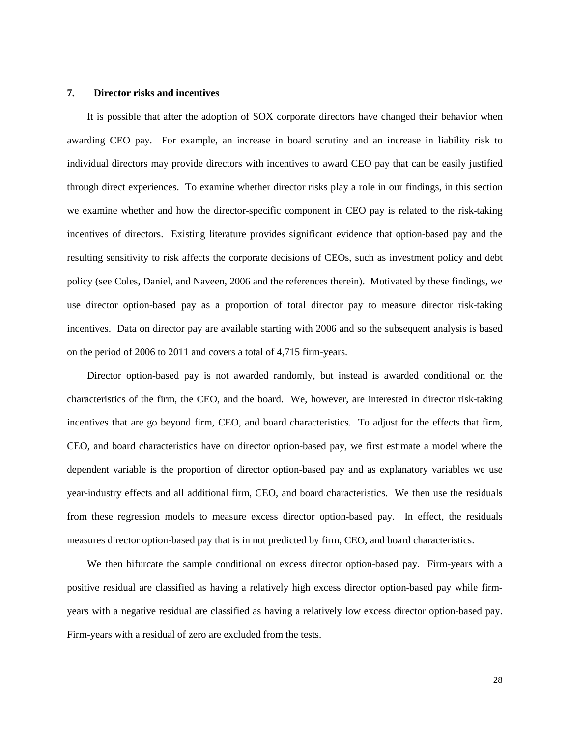#### **7. Director risks and incentives**

It is possible that after the adoption of SOX corporate directors have changed their behavior when awarding CEO pay. For example, an increase in board scrutiny and an increase in liability risk to individual directors may provide directors with incentives to award CEO pay that can be easily justified through direct experiences. To examine whether director risks play a role in our findings, in this section we examine whether and how the director-specific component in CEO pay is related to the risk-taking incentives of directors. Existing literature provides significant evidence that option-based pay and the resulting sensitivity to risk affects the corporate decisions of CEOs, such as investment policy and debt policy (see Coles, Daniel, and Naveen, 2006 and the references therein). Motivated by these findings, we use director option-based pay as a proportion of total director pay to measure director risk-taking incentives. Data on director pay are available starting with 2006 and so the subsequent analysis is based on the period of 2006 to 2011 and covers a total of 4,715 firm-years.

Director option-based pay is not awarded randomly, but instead is awarded conditional on the characteristics of the firm, the CEO, and the board. We, however, are interested in director risk-taking incentives that are go beyond firm, CEO, and board characteristics. To adjust for the effects that firm, CEO, and board characteristics have on director option-based pay, we first estimate a model where the dependent variable is the proportion of director option-based pay and as explanatory variables we use year-industry effects and all additional firm, CEO, and board characteristics. We then use the residuals from these regression models to measure excess director option-based pay. In effect, the residuals measures director option-based pay that is in not predicted by firm, CEO, and board characteristics.

We then bifurcate the sample conditional on excess director option-based pay. Firm-years with a positive residual are classified as having a relatively high excess director option-based pay while firmyears with a negative residual are classified as having a relatively low excess director option-based pay. Firm-years with a residual of zero are excluded from the tests.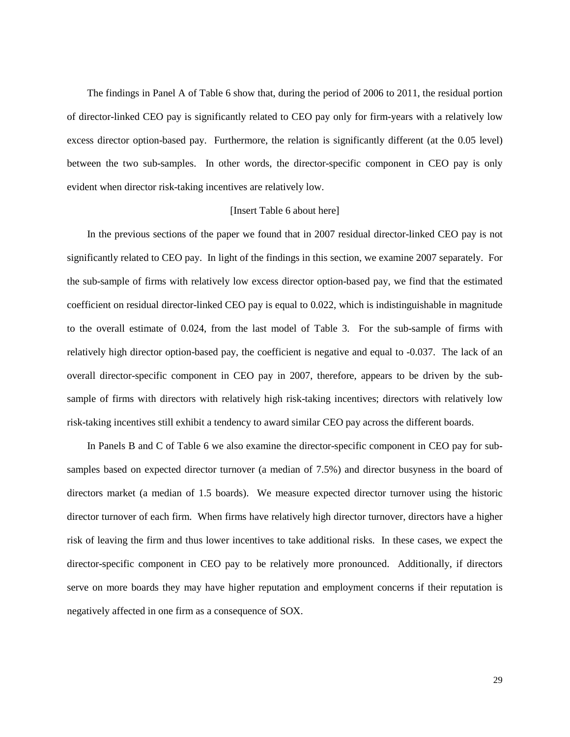The findings in Panel A of Table 6 show that, during the period of 2006 to 2011, the residual portion of director-linked CEO pay is significantly related to CEO pay only for firm-years with a relatively low excess director option-based pay. Furthermore, the relation is significantly different (at the 0.05 level) between the two sub-samples. In other words, the director-specific component in CEO pay is only evident when director risk-taking incentives are relatively low.

#### [Insert Table 6 about here]

In the previous sections of the paper we found that in 2007 residual director-linked CEO pay is not significantly related to CEO pay. In light of the findings in this section, we examine 2007 separately. For the sub-sample of firms with relatively low excess director option-based pay, we find that the estimated coefficient on residual director-linked CEO pay is equal to 0.022, which is indistinguishable in magnitude to the overall estimate of 0.024, from the last model of Table 3. For the sub-sample of firms with relatively high director option-based pay, the coefficient is negative and equal to -0.037. The lack of an overall director-specific component in CEO pay in 2007, therefore, appears to be driven by the subsample of firms with directors with relatively high risk-taking incentives; directors with relatively low risk-taking incentives still exhibit a tendency to award similar CEO pay across the different boards.

In Panels B and C of Table 6 we also examine the director-specific component in CEO pay for subsamples based on expected director turnover (a median of 7.5%) and director busyness in the board of directors market (a median of 1.5 boards). We measure expected director turnover using the historic director turnover of each firm. When firms have relatively high director turnover, directors have a higher risk of leaving the firm and thus lower incentives to take additional risks. In these cases, we expect the director-specific component in CEO pay to be relatively more pronounced. Additionally, if directors serve on more boards they may have higher reputation and employment concerns if their reputation is negatively affected in one firm as a consequence of SOX.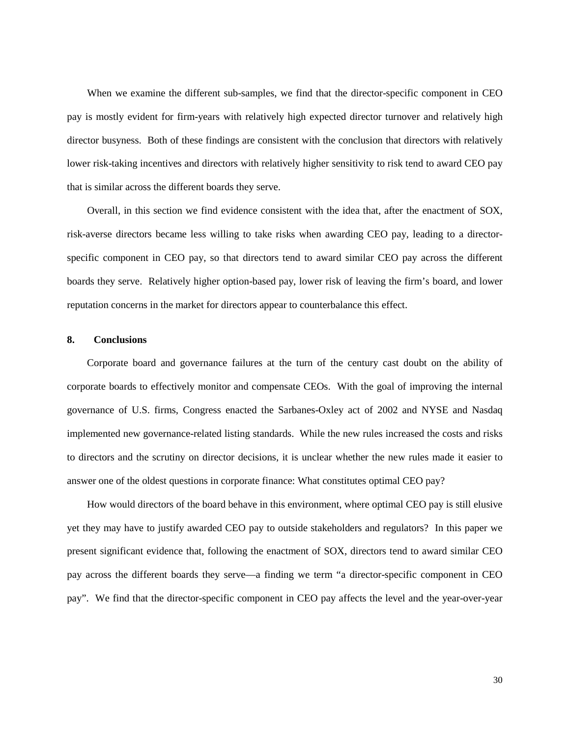When we examine the different sub-samples, we find that the director-specific component in CEO pay is mostly evident for firm-years with relatively high expected director turnover and relatively high director busyness. Both of these findings are consistent with the conclusion that directors with relatively lower risk-taking incentives and directors with relatively higher sensitivity to risk tend to award CEO pay that is similar across the different boards they serve.

Overall, in this section we find evidence consistent with the idea that, after the enactment of SOX, risk-averse directors became less willing to take risks when awarding CEO pay, leading to a directorspecific component in CEO pay, so that directors tend to award similar CEO pay across the different boards they serve. Relatively higher option-based pay, lower risk of leaving the firm's board, and lower reputation concerns in the market for directors appear to counterbalance this effect.

### **8. Conclusions**

Corporate board and governance failures at the turn of the century cast doubt on the ability of corporate boards to effectively monitor and compensate CEOs. With the goal of improving the internal governance of U.S. firms, Congress enacted the Sarbanes-Oxley act of 2002 and NYSE and Nasdaq implemented new governance-related listing standards. While the new rules increased the costs and risks to directors and the scrutiny on director decisions, it is unclear whether the new rules made it easier to answer one of the oldest questions in corporate finance: What constitutes optimal CEO pay?

How would directors of the board behave in this environment, where optimal CEO pay is still elusive yet they may have to justify awarded CEO pay to outside stakeholders and regulators? In this paper we present significant evidence that, following the enactment of SOX, directors tend to award similar CEO pay across the different boards they serve—a finding we term "a director-specific component in CEO pay". We find that the director-specific component in CEO pay affects the level and the year-over-year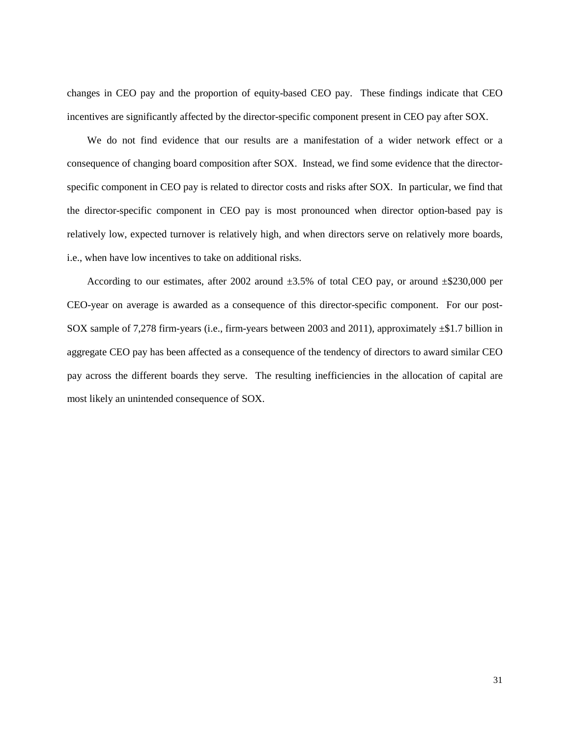changes in CEO pay and the proportion of equity-based CEO pay. These findings indicate that CEO incentives are significantly affected by the director-specific component present in CEO pay after SOX.

We do not find evidence that our results are a manifestation of a wider network effect or a consequence of changing board composition after SOX. Instead, we find some evidence that the directorspecific component in CEO pay is related to director costs and risks after SOX. In particular, we find that the director-specific component in CEO pay is most pronounced when director option-based pay is relatively low, expected turnover is relatively high, and when directors serve on relatively more boards, i.e., when have low incentives to take on additional risks.

According to our estimates, after 2002 around  $\pm 3.5\%$  of total CEO pay, or around  $\pm $230,000$  per CEO-year on average is awarded as a consequence of this director-specific component. For our post-SOX sample of 7,278 firm-years (i.e., firm-years between 2003 and 2011), approximately ±\$1.7 billion in aggregate CEO pay has been affected as a consequence of the tendency of directors to award similar CEO pay across the different boards they serve. The resulting inefficiencies in the allocation of capital are most likely an unintended consequence of SOX.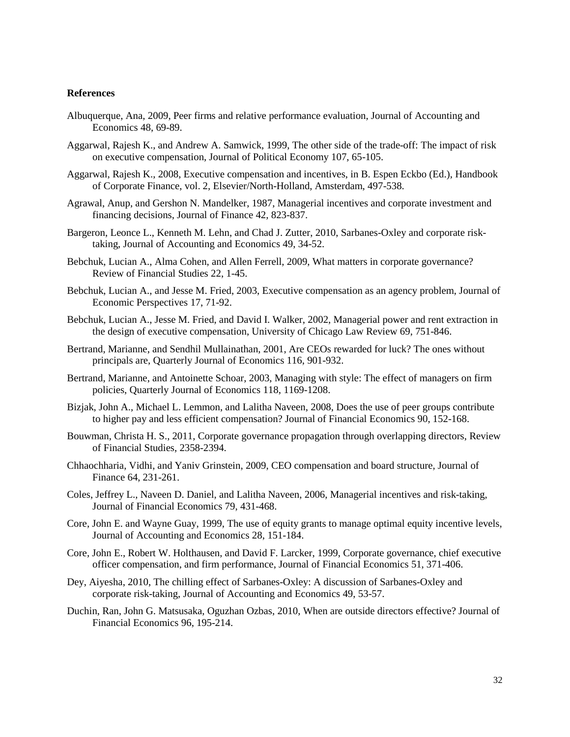#### **References**

- Albuquerque, Ana, 2009, Peer firms and relative performance evaluation, Journal of Accounting and Economics 48, 69-89.
- Aggarwal, Rajesh K., and Andrew A. Samwick, 1999, The other side of the trade-off: The impact of risk on executive compensation, Journal of Political Economy 107, 65-105.
- Aggarwal, Rajesh K., 2008, Executive compensation and incentives, in B. Espen Eckbo (Ed.), Handbook of Corporate Finance, vol. 2, Elsevier/North-Holland, Amsterdam, 497-538.
- Agrawal, Anup, and Gershon N. Mandelker, 1987, Managerial incentives and corporate investment and financing decisions, Journal of Finance 42, 823-837.
- Bargeron, Leonce L., Kenneth M. Lehn, and Chad J. Zutter, 2010, Sarbanes-Oxley and corporate risktaking, Journal of Accounting and Economics 49, 34-52.
- Bebchuk, Lucian A., Alma Cohen, and Allen Ferrell, 2009, What matters in corporate governance? Review of Financial Studies 22, 1-45.
- Bebchuk, Lucian A., and Jesse M. Fried, 2003, Executive compensation as an agency problem, Journal of Economic Perspectives 17, 71-92.
- Bebchuk, Lucian A., Jesse M. Fried, and David I. Walker, 2002, Managerial power and rent extraction in the design of executive compensation, University of Chicago Law Review 69, 751-846.
- Bertrand, Marianne, and Sendhil Mullainathan, 2001, Are CEOs rewarded for luck? The ones without principals are, Quarterly Journal of Economics 116, 901-932.
- Bertrand, Marianne, and Antoinette Schoar, 2003, Managing with style: The effect of managers on firm policies, Quarterly Journal of Economics 118, 1169-1208.
- Bizjak, John A., Michael L. Lemmon, and Lalitha Naveen, 2008, Does the use of peer groups contribute to higher pay and less efficient compensation? Journal of Financial Economics 90, 152-168.
- Bouwman, Christa H. S., 2011, Corporate governance propagation through overlapping directors, Review of Financial Studies, 2358-2394.
- Chhaochharia, Vidhi, and Yaniv Grinstein, 2009, CEO compensation and board structure, Journal of Finance 64, 231-261.
- Coles, Jeffrey L., Naveen D. Daniel, and Lalitha Naveen, 2006, Managerial incentives and risk-taking, Journal of Financial Economics 79, 431-468.
- Core, John E. and Wayne Guay, 1999, The use of equity grants to manage optimal equity incentive levels, Journal of Accounting and Economics 28, 151-184.
- Core, John E., Robert W. Holthausen, and David F. Larcker, 1999, Corporate governance, chief executive officer compensation, and firm performance, Journal of Financial Economics 51, 371-406.
- Dey, Aiyesha, 2010, The chilling effect of Sarbanes-Oxley: A discussion of Sarbanes-Oxley and corporate risk-taking, Journal of Accounting and Economics 49, 53-57.
- Duchin, Ran, John G. Matsusaka, Oguzhan Ozbas, 2010, When are outside directors effective? Journal of Financial Economics 96, 195-214.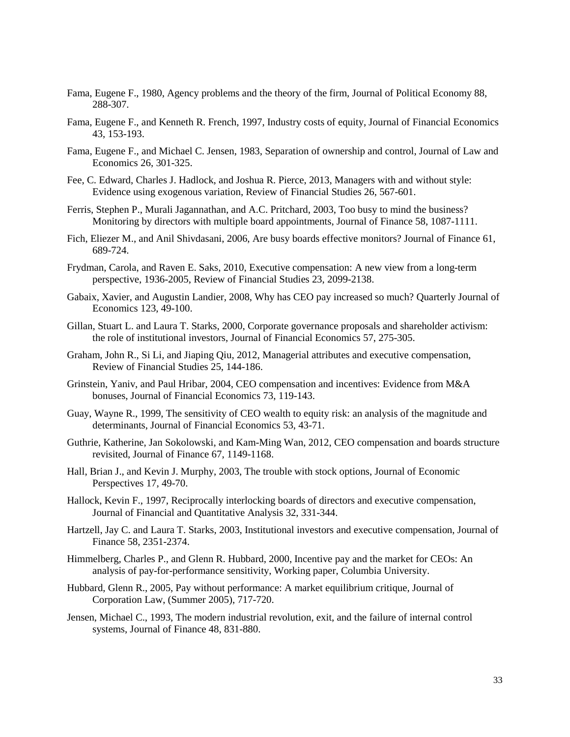- Fama, Eugene F., 1980, Agency problems and the theory of the firm, Journal of Political Economy 88, 288-307.
- Fama, Eugene F., and Kenneth R. French, 1997, Industry costs of equity, Journal of Financial Economics 43, 153-193.
- Fama, Eugene F., and Michael C. Jensen, 1983, Separation of ownership and control, Journal of Law and Economics 26, 301-325.
- Fee, C. Edward, Charles J. Hadlock, and Joshua R. Pierce, 2013, Managers with and without style: Evidence using exogenous variation, Review of Financial Studies 26, 567-601.
- Ferris, Stephen P., Murali Jagannathan, and A.C. Pritchard, 2003, Too busy to mind the business? Monitoring by directors with multiple board appointments, Journal of Finance 58, 1087-1111.
- Fich, Eliezer M., and Anil Shivdasani, 2006, Are busy boards effective monitors? Journal of Finance 61, 689-724.
- Frydman, Carola, and Raven E. Saks, 2010, Executive compensation: A new view from a long-term perspective, 1936-2005, Review of Financial Studies 23, 2099-2138.
- Gabaix, Xavier, and Augustin Landier, 2008, Why has CEO pay increased so much? Quarterly Journal of Economics 123, 49-100.
- Gillan, Stuart L. and Laura T. Starks, 2000, Corporate governance proposals and shareholder activism: the role of institutional investors, Journal of Financial Economics 57, 275-305.
- Graham, John R., Si Li, and Jiaping Qiu, 2012, Managerial attributes and executive compensation, Review of Financial Studies 25, 144-186.
- Grinstein, Yaniv, and Paul Hribar, 2004, CEO compensation and incentives: Evidence from M&A bonuses, Journal of Financial Economics 73, 119-143.
- Guay, Wayne R., 1999, The sensitivity of CEO wealth to equity risk: an analysis of the magnitude and determinants, Journal of Financial Economics 53, 43-71.
- Guthrie, Katherine, Jan Sokolowski, and Kam-Ming Wan, 2012, CEO compensation and boards structure revisited, Journal of Finance 67, 1149-1168.
- Hall, Brian J., and Kevin J. Murphy, 2003, The trouble with stock options, Journal of Economic Perspectives 17, 49-70.
- Hallock, Kevin F., 1997, Reciprocally interlocking boards of directors and executive compensation, Journal of Financial and Quantitative Analysis 32, 331-344.
- Hartzell, Jay C. and Laura T. Starks, 2003, Institutional investors and executive compensation, Journal of Finance 58, 2351-2374.
- Himmelberg, Charles P., and Glenn R. Hubbard, 2000, Incentive pay and the market for CEOs: An analysis of pay-for-performance sensitivity, Working paper, Columbia University.
- Hubbard, Glenn R., 2005, Pay without performance: A market equilibrium critique, Journal of Corporation Law, (Summer 2005), 717-720.
- Jensen, Michael C., 1993, The modern industrial revolution, exit, and the failure of internal control systems, Journal of Finance 48, 831-880.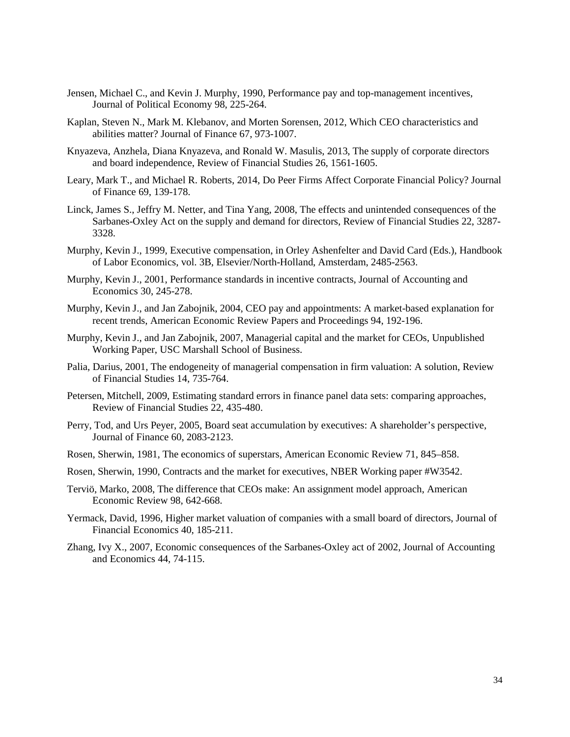- Jensen, Michael C., and Kevin J. Murphy, 1990, Performance pay and top-management incentives, Journal of Political Economy 98, 225-264.
- Kaplan, Steven N., Mark M. Klebanov, and Morten Sorensen, 2012, Which CEO characteristics and abilities matter? Journal of Finance 67, 973-1007.
- Knyazeva, Anzhela, Diana Knyazeva, and Ronald W. Masulis, 2013, The supply of corporate directors and board independence, Review of Financial Studies 26, 1561-1605.
- Leary, Mark T., and Michael R. Roberts, 2014, Do Peer Firms Affect Corporate Financial Policy? Journal of Finance 69, 139-178.
- Linck, James S., Jeffry M. Netter, and Tina Yang, 2008, The effects and unintended consequences of the Sarbanes-Oxley Act on the supply and demand for directors, Review of Financial Studies 22, 3287- 3328.
- Murphy, Kevin J., 1999, Executive compensation, in Orley Ashenfelter and David Card (Eds.), Handbook of Labor Economics, vol. 3B, Elsevier/North-Holland, Amsterdam, 2485-2563.
- Murphy, Kevin J., 2001, Performance standards in incentive contracts, Journal of Accounting and Economics 30, 245-278.
- Murphy, Kevin J., and Jan Zabojnik, 2004, CEO pay and appointments: A market-based explanation for recent trends, American Economic Review Papers and Proceedings 94, 192-196.
- Murphy, Kevin J., and Jan Zabojnik, 2007, Managerial capital and the market for CEOs, Unpublished Working Paper, USC Marshall School of Business.
- Palia, Darius, 2001, The endogeneity of managerial compensation in firm valuation: A solution, Review of Financial Studies 14, 735-764.
- Petersen, Mitchell, 2009, Estimating standard errors in finance panel data sets: comparing approaches, Review of Financial Studies 22, 435-480.
- Perry, Tod, and Urs Peyer, 2005, Board seat accumulation by executives: A shareholder's perspective, Journal of Finance 60, 2083-2123.
- Rosen, Sherwin, 1981, The economics of superstars, American Economic Review 71, 845–858.
- Rosen, Sherwin, 1990, Contracts and the market for executives, NBER Working paper #W3542.
- Terviö, Marko, 2008, The difference that CEOs make: An assignment model approach, American Economic Review 98, 642-668.
- Yermack, David, 1996, Higher market valuation of companies with a small board of directors, Journal of Financial Economics 40, 185-211.
- Zhang, Ivy X., 2007, Economic consequences of the Sarbanes-Oxley act of 2002, Journal of Accounting and Economics 44, 74-115.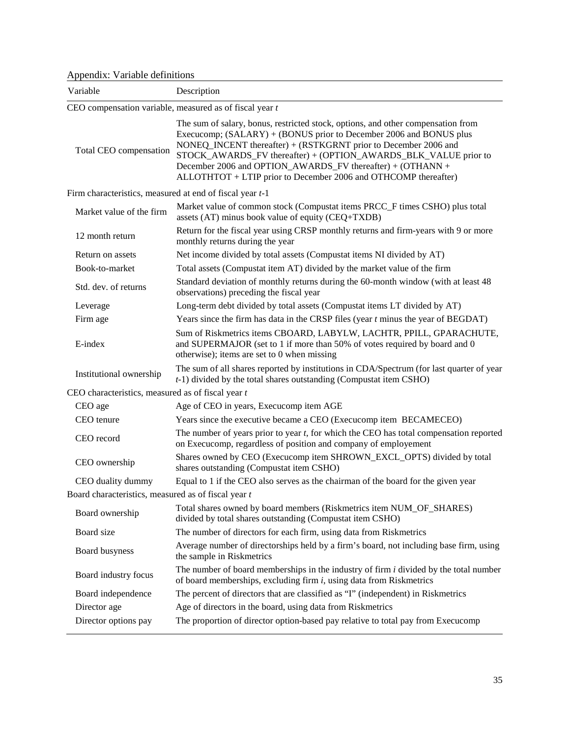Appendix: Variable definitions

| Variable                                                 | Description                                                                                                                                                                                                                                                                                                                                                                                                                   |
|----------------------------------------------------------|-------------------------------------------------------------------------------------------------------------------------------------------------------------------------------------------------------------------------------------------------------------------------------------------------------------------------------------------------------------------------------------------------------------------------------|
|                                                          | CEO compensation variable, measured as of fiscal year $t$                                                                                                                                                                                                                                                                                                                                                                     |
| Total CEO compensation                                   | The sum of salary, bonus, restricted stock, options, and other compensation from<br>Execucomp; (SALARY) + (BONUS prior to December 2006 and BONUS plus<br>NONEQ_INCENT thereafter) + (RSTKGRNT prior to December 2006 and<br>STOCK_AWARDS_FV thereafter) + (OPTION_AWARDS_BLK_VALUE prior to<br>December 2006 and OPTION_AWARDS_FV thereafter) + (OTHANN +<br>ALLOTHTOT + LTIP prior to December 2006 and OTHCOMP thereafter) |
| Firm characteristics, measured at end of fiscal year t-1 |                                                                                                                                                                                                                                                                                                                                                                                                                               |
| Market value of the firm                                 | Market value of common stock (Compustat items PRCC_F times CSHO) plus total<br>assets (AT) minus book value of equity (CEQ+TXDB)                                                                                                                                                                                                                                                                                              |
| 12 month return                                          | Return for the fiscal year using CRSP monthly returns and firm-years with 9 or more<br>monthly returns during the year                                                                                                                                                                                                                                                                                                        |
| Return on assets                                         | Net income divided by total assets (Compustat items NI divided by AT)                                                                                                                                                                                                                                                                                                                                                         |
| Book-to-market                                           | Total assets (Compustat item AT) divided by the market value of the firm                                                                                                                                                                                                                                                                                                                                                      |
| Std. dev. of returns                                     | Standard deviation of monthly returns during the 60-month window (with at least 48<br>observations) preceding the fiscal year                                                                                                                                                                                                                                                                                                 |
| Leverage                                                 | Long-term debt divided by total assets (Compustat items LT divided by AT)                                                                                                                                                                                                                                                                                                                                                     |
| Firm age                                                 | Years since the firm has data in the CRSP files (year $t$ minus the year of BEGDAT)                                                                                                                                                                                                                                                                                                                                           |
| E-index                                                  | Sum of Riskmetrics items CBOARD, LABYLW, LACHTR, PPILL, GPARACHUTE,<br>and SUPERMAJOR (set to 1 if more than 50% of votes required by board and 0<br>otherwise); items are set to $0$ when missing                                                                                                                                                                                                                            |
| Institutional ownership                                  | The sum of all shares reported by institutions in CDA/Spectrum (for last quarter of year<br>$t-1$ ) divided by the total shares outstanding (Compustat item CSHO)                                                                                                                                                                                                                                                             |
| CEO characteristics, measured as of fiscal year $t$      |                                                                                                                                                                                                                                                                                                                                                                                                                               |
| CEO age                                                  | Age of CEO in years, Execucomp item AGE                                                                                                                                                                                                                                                                                                                                                                                       |
| CEO tenure                                               | Years since the executive became a CEO (Execucomp item BECAMECEO)                                                                                                                                                                                                                                                                                                                                                             |
| CEO record                                               | The number of years prior to year $t$ , for which the CEO has total compensation reported<br>on Execucomp, regardless of position and company of employement                                                                                                                                                                                                                                                                  |
| CEO ownership                                            | Shares owned by CEO (Execucomp item SHROWN_EXCL_OPTS) divided by total<br>shares outstanding (Compustat item CSHO)                                                                                                                                                                                                                                                                                                            |
| CEO duality dummy                                        | Equal to 1 if the CEO also serves as the chairman of the board for the given year                                                                                                                                                                                                                                                                                                                                             |
| Board characteristics, measured as of fiscal year t      |                                                                                                                                                                                                                                                                                                                                                                                                                               |
| Board ownership                                          | Total shares owned by board members (Riskmetrics item NUM_OF_SHARES)<br>divided by total shares outstanding (Compustat item CSHO)                                                                                                                                                                                                                                                                                             |
| Board size                                               | The number of directors for each firm, using data from Riskmetrics                                                                                                                                                                                                                                                                                                                                                            |
| Board busyness                                           | Average number of directorships held by a firm's board, not including base firm, using<br>the sample in Riskmetrics                                                                                                                                                                                                                                                                                                           |
| Board industry focus                                     | The number of board memberships in the industry of firm $i$ divided by the total number<br>of board memberships, excluding firm $i$ , using data from Riskmetrics                                                                                                                                                                                                                                                             |
| Board independence                                       | The percent of directors that are classified as "I" (independent) in Riskmetrics                                                                                                                                                                                                                                                                                                                                              |
| Director age                                             | Age of directors in the board, using data from Riskmetrics                                                                                                                                                                                                                                                                                                                                                                    |
| Director options pay                                     | The proportion of director option-based pay relative to total pay from Execucomp                                                                                                                                                                                                                                                                                                                                              |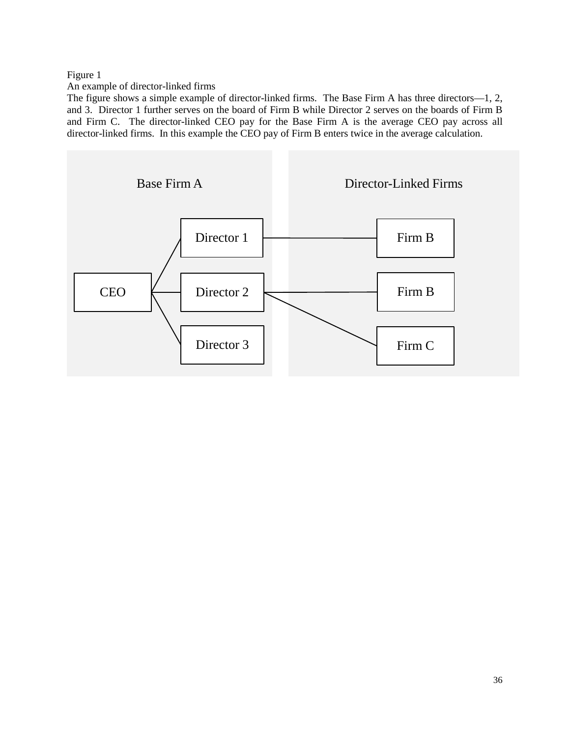## Figure 1

An example of director-linked firms

The figure shows a simple example of director-linked firms. The Base Firm A has three directors—1, 2, and 3. Director 1 further serves on the board of Firm B while Director 2 serves on the boards of Firm B and Firm C. The director-linked CEO pay for the Base Firm A is the average CEO pay across all director-linked firms. In this example the CEO pay of Firm B enters twice in the average calculation.

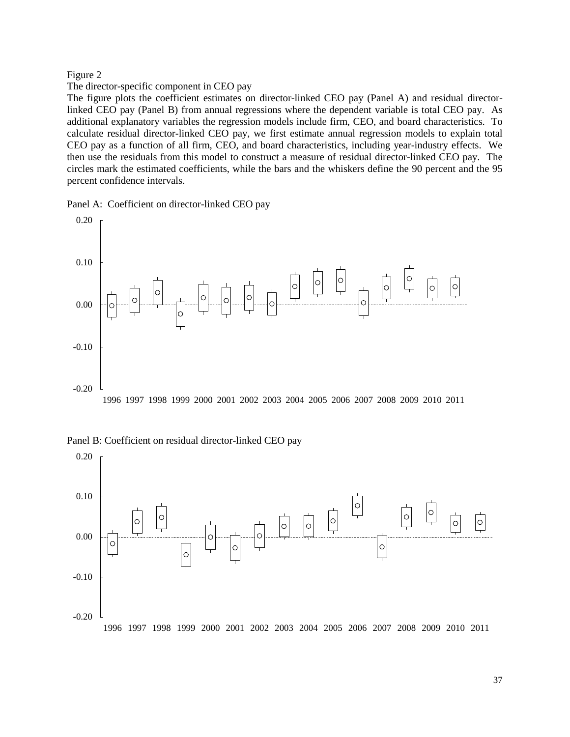#### Figure 2

## The director-specific component in CEO pay

The figure plots the coefficient estimates on director-linked CEO pay (Panel A) and residual directorlinked CEO pay (Panel B) from annual regressions where the dependent variable is total CEO pay. As additional explanatory variables the regression models include firm, CEO, and board characteristics. To calculate residual director-linked CEO pay, we first estimate annual regression models to explain total CEO pay as a function of all firm, CEO, and board characteristics, including year-industry effects. We then use the residuals from this model to construct a measure of residual director-linked CEO pay. The circles mark the estimated coefficients, while the bars and the whiskers define the 90 percent and the 95 percent confidence intervals.

Panel A: Coefficient on director-linked CEO pay



Panel B: Coefficient on residual director-linked CEO pay

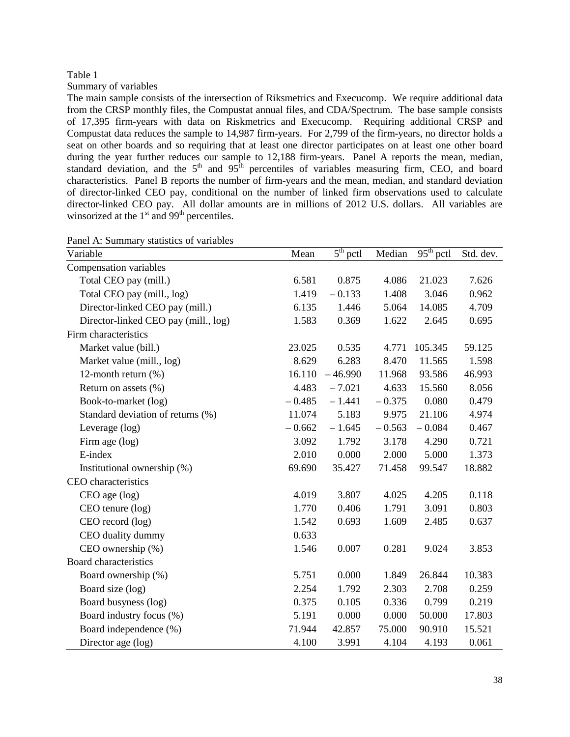Summary of variables

The main sample consists of the intersection of Riksmetrics and Execucomp. We require additional data from the CRSP monthly files, the Compustat annual files, and CDA/Spectrum. The base sample consists of 17,395 firm-years with data on Riskmetrics and Execucomp. Requiring additional CRSP and Compustat data reduces the sample to 14,987 firm-years. For 2,799 of the firm-years, no director holds a seat on other boards and so requiring that at least one director participates on at least one other board during the year further reduces our sample to 12,188 firm-years. Panel A reports the mean, median, standard deviation, and the  $5<sup>th</sup>$  and  $95<sup>th</sup>$  percentiles of variables measuring firm, CEO, and board characteristics. Panel B reports the number of firm-years and the mean, median, and standard deviation of director-linked CEO pay, conditional on the number of linked firm observations used to calculate director-linked CEO pay. All dollar amounts are in millions of 2012 U.S. dollars. All variables are winsorized at the  $1<sup>st</sup>$  and  $99<sup>th</sup>$  percentiles.

| Panel A: Summary statistics of variables |          |                                 |          |                                  |           |
|------------------------------------------|----------|---------------------------------|----------|----------------------------------|-----------|
| Variable                                 | Mean     | $\overline{5}^{\text{th}}$ pctl | Median   | $\overline{95}^{\text{th}}$ pctl | Std. dev. |
| Compensation variables                   |          |                                 |          |                                  |           |
| Total CEO pay (mill.)                    | 6.581    | 0.875                           | 4.086    | 21.023                           | 7.626     |
| Total CEO pay (mill., log)               | 1.419    | $-0.133$                        | 1.408    | 3.046                            | 0.962     |
| Director-linked CEO pay (mill.)          | 6.135    | 1.446                           | 5.064    | 14.085                           | 4.709     |
| Director-linked CEO pay (mill., log)     | 1.583    | 0.369                           | 1.622    | 2.645                            | 0.695     |
| Firm characteristics                     |          |                                 |          |                                  |           |
| Market value (bill.)                     | 23.025   | 0.535                           | 4.771    | 105.345                          | 59.125    |
| Market value (mill., log)                | 8.629    | 6.283                           | 8.470    | 11.565                           | 1.598     |
| 12-month return (%)                      | 16.110   | $-46.990$                       | 11.968   | 93.586                           | 46.993    |
| Return on assets (%)                     | 4.483    | $-7.021$                        | 4.633    | 15.560                           | 8.056     |
| Book-to-market (log)                     | $-0.485$ | $-1.441$                        | $-0.375$ | 0.080                            | 0.479     |
| Standard deviation of returns (%)        | 11.074   | 5.183                           | 9.975    | 21.106                           | 4.974     |
| Leverage (log)                           | $-0.662$ | $-1.645$                        | $-0.563$ | $-0.084$                         | 0.467     |
| Firm age (log)                           | 3.092    | 1.792                           | 3.178    | 4.290                            | 0.721     |
| E-index                                  | 2.010    | 0.000                           | 2.000    | 5.000                            | 1.373     |
| Institutional ownership (%)              | 69.690   | 35.427                          | 71.458   | 99.547                           | 18.882    |
| CEO characteristics                      |          |                                 |          |                                  |           |
| CEO age (log)                            | 4.019    | 3.807                           | 4.025    | 4.205                            | 0.118     |
| CEO tenure (log)                         | 1.770    | 0.406                           | 1.791    | 3.091                            | 0.803     |
| CEO record (log)                         | 1.542    | 0.693                           | 1.609    | 2.485                            | 0.637     |
| CEO duality dummy                        | 0.633    |                                 |          |                                  |           |
| CEO ownership (%)                        | 1.546    | 0.007                           | 0.281    | 9.024                            | 3.853     |
| Board characteristics                    |          |                                 |          |                                  |           |
| Board ownership (%)                      | 5.751    | 0.000                           | 1.849    | 26.844                           | 10.383    |
| Board size (log)                         | 2.254    | 1.792                           | 2.303    | 2.708                            | 0.259     |
| Board busyness (log)                     | 0.375    | 0.105                           | 0.336    | 0.799                            | 0.219     |
| Board industry focus (%)                 | 5.191    | 0.000                           | 0.000    | 50.000                           | 17.803    |
| Board independence (%)                   | 71.944   | 42.857                          | 75.000   | 90.910                           | 15.521    |
| Director age (log)                       | 4.100    | 3.991                           | 4.104    | 4.193                            | 0.061     |

Panel A: Summary statistics of variables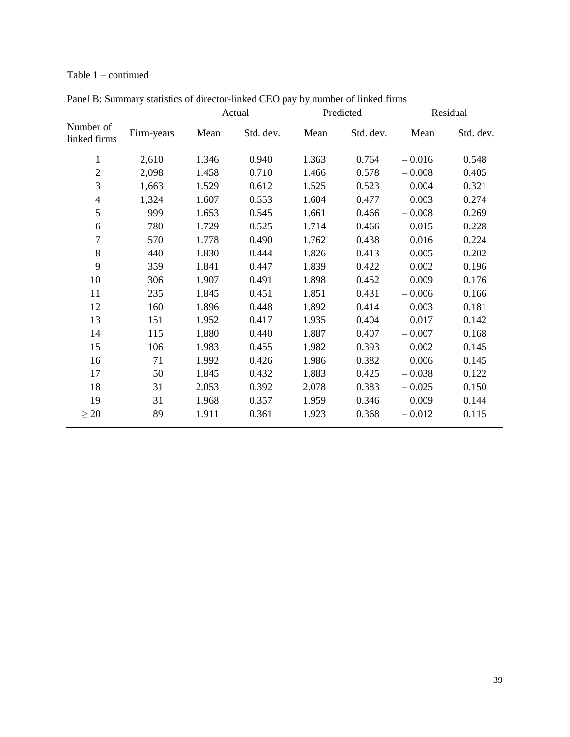# Table 1 – continued

|                           |            |       | Actual    | Predicted |           | Residual |           |
|---------------------------|------------|-------|-----------|-----------|-----------|----------|-----------|
| Number of<br>linked firms | Firm-years | Mean  | Std. dev. | Mean      | Std. dev. | Mean     | Std. dev. |
| $\mathbf 1$               | 2,610      | 1.346 | 0.940     | 1.363     | 0.764     | $-0.016$ | 0.548     |
| $\overline{2}$            | 2,098      | 1.458 | 0.710     | 1.466     | 0.578     | $-0.008$ | 0.405     |
| 3                         | 1,663      | 1.529 | 0.612     | 1.525     | 0.523     | 0.004    | 0.321     |
| $\overline{4}$            | 1,324      | 1.607 | 0.553     | 1.604     | 0.477     | 0.003    | 0.274     |
| 5                         | 999        | 1.653 | 0.545     | 1.661     | 0.466     | $-0.008$ | 0.269     |
| 6                         | 780        | 1.729 | 0.525     | 1.714     | 0.466     | 0.015    | 0.228     |
| $\overline{7}$            | 570        | 1.778 | 0.490     | 1.762     | 0.438     | 0.016    | 0.224     |
| 8                         | 440        | 1.830 | 0.444     | 1.826     | 0.413     | 0.005    | 0.202     |
| 9                         | 359        | 1.841 | 0.447     | 1.839     | 0.422     | 0.002    | 0.196     |
| 10                        | 306        | 1.907 | 0.491     | 1.898     | 0.452     | 0.009    | 0.176     |
| 11                        | 235        | 1.845 | 0.451     | 1.851     | 0.431     | $-0.006$ | 0.166     |
| 12                        | 160        | 1.896 | 0.448     | 1.892     | 0.414     | 0.003    | 0.181     |
| 13                        | 151        | 1.952 | 0.417     | 1.935     | 0.404     | 0.017    | 0.142     |
| 14                        | 115        | 1.880 | 0.440     | 1.887     | 0.407     | $-0.007$ | 0.168     |
| 15                        | 106        | 1.983 | 0.455     | 1.982     | 0.393     | 0.002    | 0.145     |
| 16                        | 71         | 1.992 | 0.426     | 1.986     | 0.382     | 0.006    | 0.145     |
| 17                        | 50         | 1.845 | 0.432     | 1.883     | 0.425     | $-0.038$ | 0.122     |
| 18                        | 31         | 2.053 | 0.392     | 2.078     | 0.383     | $-0.025$ | 0.150     |
| 19                        | 31         | 1.968 | 0.357     | 1.959     | 0.346     | 0.009    | 0.144     |
| $\geq 20$                 | 89         | 1.911 | 0.361     | 1.923     | 0.368     | $-0.012$ | 0.115     |

Panel B: Summary statistics of director-linked CEO pay by number of linked firms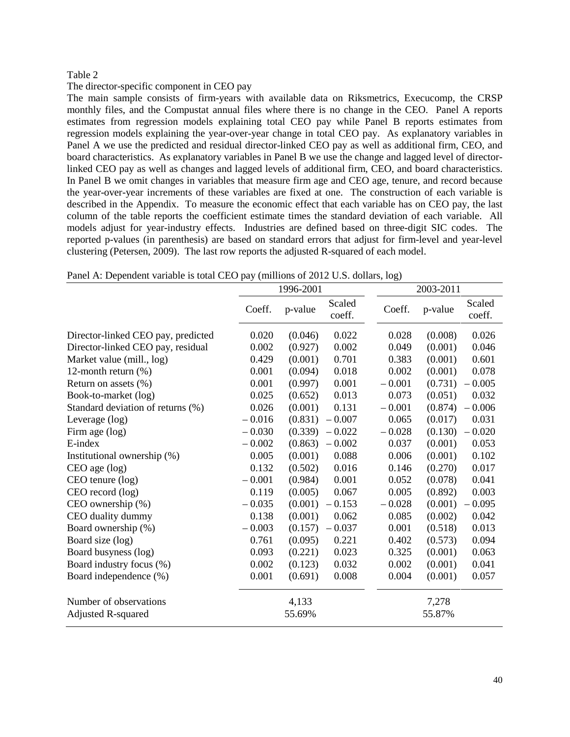#### The director-specific component in CEO pay

The main sample consists of firm-years with available data on Riksmetrics, Execucomp, the CRSP monthly files, and the Compustat annual files where there is no change in the CEO. Panel A reports estimates from regression models explaining total CEO pay while Panel B reports estimates from regression models explaining the year-over-year change in total CEO pay. As explanatory variables in Panel A we use the predicted and residual director-linked CEO pay as well as additional firm, CEO, and board characteristics. As explanatory variables in Panel B we use the change and lagged level of directorlinked CEO pay as well as changes and lagged levels of additional firm, CEO, and board characteristics. In Panel B we omit changes in variables that measure firm age and CEO age, tenure, and record because the year-over-year increments of these variables are fixed at one. The construction of each variable is described in the Appendix. To measure the economic effect that each variable has on CEO pay, the last column of the table reports the coefficient estimate times the standard deviation of each variable. All models adjust for year-industry effects. Industries are defined based on three-digit SIC codes. The reported p-values (in parenthesis) are based on standard errors that adjust for firm-level and year-level clustering (Petersen, 2009). The last row reports the adjusted R-squared of each model.

|  |  |  |  | Panel A: Dependent variable is total CEO pay (millions of 2012 U.S. dollars, log) |  |  |
|--|--|--|--|-----------------------------------------------------------------------------------|--|--|
|--|--|--|--|-----------------------------------------------------------------------------------|--|--|

|                                    | 1996-2001 |         |                  | 2003-2011 |         |                  |
|------------------------------------|-----------|---------|------------------|-----------|---------|------------------|
|                                    | Coeff.    | p-value | Scaled<br>coeff. | Coeff.    | p-value | Scaled<br>coeff. |
| Director-linked CEO pay, predicted | 0.020     | (0.046) | 0.022            | 0.028     | (0.008) | 0.026            |
| Director-linked CEO pay, residual  | 0.002     | (0.927) | 0.002            | 0.049     | (0.001) | 0.046            |
| Market value (mill., log)          | 0.429     | (0.001) | 0.701            | 0.383     | (0.001) | 0.601            |
| 12-month return (%)                | 0.001     | (0.094) | 0.018            | 0.002     | (0.001) | 0.078            |
| Return on assets (%)               | 0.001     | (0.997) | 0.001            | $-0.001$  | (0.731) | $-0.005$         |
| Book-to-market (log)               | 0.025     | (0.652) | 0.013            | 0.073     | (0.051) | 0.032            |
| Standard deviation of returns (%)  | 0.026     | (0.001) | 0.131            | $-0.001$  | (0.874) | $-0.006$         |
| Leverage (log)                     | $-0.016$  | (0.831) | $-0.007$         | 0.065     | (0.017) | 0.031            |
| Firm age (log)                     | $-0.030$  | (0.339) | $-0.022$         | $-0.028$  | (0.130) | $-0.020$         |
| E-index                            | $-0.002$  | (0.863) | $-0.002$         | 0.037     | (0.001) | 0.053            |
| Institutional ownership (%)        | 0.005     | (0.001) | 0.088            | 0.006     | (0.001) | 0.102            |
| CEO age (log)                      | 0.132     | (0.502) | 0.016            | 0.146     | (0.270) | 0.017            |
| CEO tenure (log)                   | $-0.001$  | (0.984) | 0.001            | 0.052     | (0.078) | 0.041            |
| CEO record (log)                   | 0.119     | (0.005) | 0.067            | 0.005     | (0.892) | 0.003            |
| CEO ownership (%)                  | $-0.035$  | (0.001) | $-0.153$         | $-0.028$  | (0.001) | $-0.095$         |
| CEO duality dummy                  | 0.138     | (0.001) | 0.062            | 0.085     | (0.002) | 0.042            |
| Board ownership (%)                | $-0.003$  | (0.157) | $-0.037$         | 0.001     | (0.518) | 0.013            |
| Board size (log)                   | 0.761     | (0.095) | 0.221            | 0.402     | (0.573) | 0.094            |
| Board busyness (log)               | 0.093     | (0.221) | 0.023            | 0.325     | (0.001) | 0.063            |
| Board industry focus (%)           | 0.002     | (0.123) | 0.032            | 0.002     | (0.001) | 0.041            |
| Board independence (%)             | 0.001     | (0.691) | 0.008            | 0.004     | (0.001) | 0.057            |
| Number of observations             |           | 4,133   |                  |           | 7,278   |                  |
| <b>Adjusted R-squared</b>          |           | 55.69%  |                  |           | 55.87%  |                  |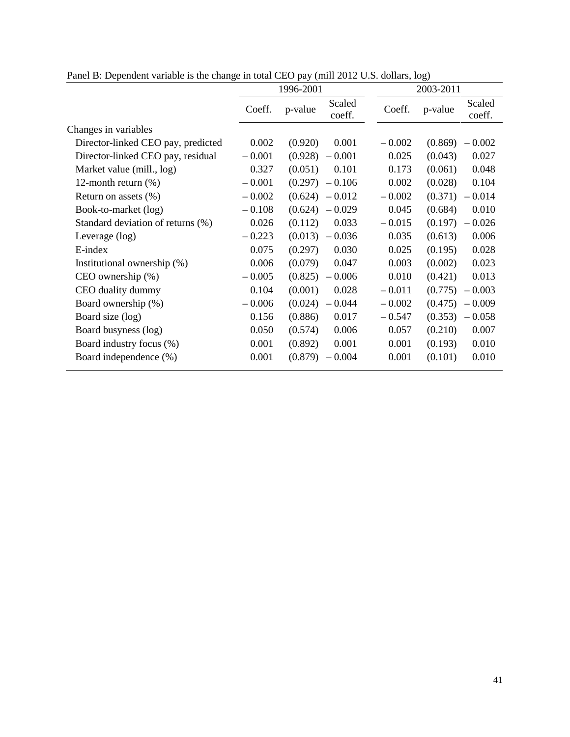|                                    | 1996-2001 |         |                   |          | 2003-2011 |                  |  |
|------------------------------------|-----------|---------|-------------------|----------|-----------|------------------|--|
|                                    | Coeff.    | p-value | Scaled<br>coeff.  | Coeff.   | p-value   | Scaled<br>coeff. |  |
| Changes in variables               |           |         |                   |          |           |                  |  |
| Director-linked CEO pay, predicted | 0.002     | (0.920) | 0.001             | $-0.002$ | (0.869)   | $-0.002$         |  |
| Director-linked CEO pay, residual  | $-0.001$  | (0.928) | $-0.001$          | 0.025    | (0.043)   | 0.027            |  |
| Market value (mill., log)          | 0.327     | (0.051) | 0.101             | 0.173    | (0.061)   | 0.048            |  |
| 12-month return $(\%)$             | $-0.001$  | (0.297) | $-0.106$          | 0.002    | (0.028)   | 0.104            |  |
| Return on assets $(\%)$            | $-0.002$  | (0.624) | $-0.012$          | $-0.002$ | (0.371)   | $-0.014$         |  |
| Book-to-market (log)               | $-0.108$  | (0.624) | $-0.029$          | 0.045    | (0.684)   | 0.010            |  |
| Standard deviation of returns (%)  | 0.026     | (0.112) | 0.033             | $-0.015$ | (0.197)   | $-0.026$         |  |
| Leverage (log)                     | $-0.223$  |         | $(0.013) - 0.036$ | 0.035    | (0.613)   | 0.006            |  |
| E-index                            | 0.075     | (0.297) | 0.030             | 0.025    | (0.195)   | 0.028            |  |
| Institutional ownership (%)        | 0.006     | (0.079) | 0.047             | 0.003    | (0.002)   | 0.023            |  |
| $CEO$ ownership $(\%)$             | $-0.005$  | (0.825) | $-0.006$          | 0.010    | (0.421)   | 0.013            |  |
| CEO duality dummy                  | 0.104     | (0.001) | 0.028             | $-0.011$ | (0.775)   | $-0.003$         |  |
| Board ownership (%)                | $-0.006$  | (0.024) | $-0.044$          | $-0.002$ | (0.475)   | $-0.009$         |  |
| Board size (log)                   | 0.156     | (0.886) | 0.017             | $-0.547$ | (0.353)   | $-0.058$         |  |
| Board busyness (log)               | 0.050     | (0.574) | 0.006             | 0.057    | (0.210)   | 0.007            |  |
| Board industry focus (%)           | 0.001     | (0.892) | 0.001             | 0.001    | (0.193)   | 0.010            |  |
| Board independence (%)             | 0.001     | (0.879) | $-0.004$          | 0.001    | (0.101)   | 0.010            |  |

Panel B: Dependent variable is the change in total CEO pay (mill 2012 U.S. dollars, log)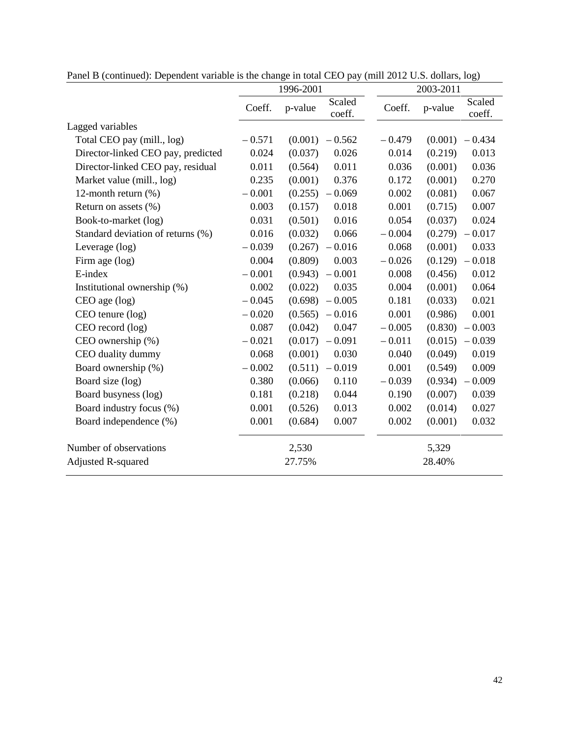|                                    | 1996-2001 |         |                  | 2003-2011 |         |                  |
|------------------------------------|-----------|---------|------------------|-----------|---------|------------------|
|                                    | Coeff.    | p-value | Scaled<br>coeff. | Coeff.    | p-value | Scaled<br>coeff. |
| Lagged variables                   |           |         |                  |           |         |                  |
| Total CEO pay (mill., log)         | $-0.571$  | (0.001) | $-0.562$         | $-0.479$  | (0.001) | $-0.434$         |
| Director-linked CEO pay, predicted | 0.024     | (0.037) | 0.026            | 0.014     | (0.219) | 0.013            |
| Director-linked CEO pay, residual  | 0.011     | (0.564) | 0.011            | 0.036     | (0.001) | 0.036            |
| Market value (mill., log)          | 0.235     | (0.001) | 0.376            | 0.172     | (0.001) | 0.270            |
| 12-month return $(\%)$             | $-0.001$  | (0.255) | $-0.069$         | 0.002     | (0.081) | 0.067            |
| Return on assets $(\%)$            | 0.003     | (0.157) | 0.018            | 0.001     | (0.715) | 0.007            |
| Book-to-market (log)               | 0.031     | (0.501) | 0.016            | 0.054     | (0.037) | 0.024            |
| Standard deviation of returns (%)  | 0.016     | (0.032) | 0.066            | $-0.004$  | (0.279) | $-0.017$         |
| Leverage (log)                     | $-0.039$  | (0.267) | $-0.016$         | 0.068     | (0.001) | 0.033            |
| Firm age (log)                     | 0.004     | (0.809) | 0.003            | $-0.026$  | (0.129) | $-0.018$         |
| E-index                            | $-0.001$  | (0.943) | $-0.001$         | 0.008     | (0.456) | 0.012            |
| Institutional ownership (%)        | 0.002     | (0.022) | 0.035            | 0.004     | (0.001) | 0.064            |
| $CEO$ age $(log)$                  | $-0.045$  | (0.698) | $-0.005$         | 0.181     | (0.033) | 0.021            |
| CEO tenure (log)                   | $-0.020$  | (0.565) | $-0.016$         | 0.001     | (0.986) | 0.001            |
| CEO record (log)                   | 0.087     | (0.042) | 0.047            | $-0.005$  | (0.830) | $-0.003$         |
| CEO ownership (%)                  | $-0.021$  | (0.017) | $-0.091$         | $-0.011$  | (0.015) | $-0.039$         |
| CEO duality dummy                  | 0.068     | (0.001) | 0.030            | 0.040     | (0.049) | 0.019            |
| Board ownership (%)                | $-0.002$  | (0.511) | $-0.019$         | 0.001     | (0.549) | 0.009            |
| Board size (log)                   | 0.380     | (0.066) | 0.110            | $-0.039$  | (0.934) | $-0.009$         |
| Board busyness (log)               | 0.181     | (0.218) | 0.044            | 0.190     | (0.007) | 0.039            |
| Board industry focus (%)           | 0.001     | (0.526) | 0.013            | 0.002     | (0.014) | 0.027            |
| Board independence (%)             | 0.001     | (0.684) | 0.007            | 0.002     | (0.001) | 0.032            |
| Number of observations             |           | 2,530   |                  |           | 5,329   |                  |
| <b>Adjusted R-squared</b>          |           | 27.75%  |                  |           | 28.40%  |                  |

Panel B (continued): Dependent variable is the change in total CEO pay (mill 2012 U.S. dollars, log)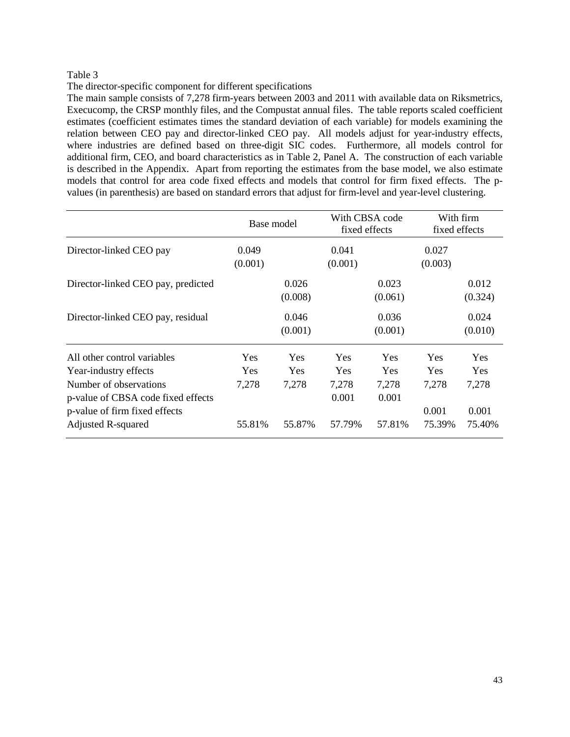The director-specific component for different specifications

The main sample consists of 7,278 firm-years between 2003 and 2011 with available data on Riksmetrics, Execucomp, the CRSP monthly files, and the Compustat annual files. The table reports scaled coefficient estimates (coefficient estimates times the standard deviation of each variable) for models examining the relation between CEO pay and director-linked CEO pay. All models adjust for year-industry effects, where industries are defined based on three-digit SIC codes. Furthermore, all models control for additional firm, CEO, and board characteristics as in Table 2, Panel A. The construction of each variable is described in the Appendix. Apart from reporting the estimates from the base model, we also estimate models that control for area code fixed effects and models that control for firm fixed effects. The pvalues (in parenthesis) are based on standard errors that adjust for firm-level and year-level clustering.

|                                                              |                  | Base model       |                  | With CBSA code<br>fixed effects | With firm<br>fixed effects |                  |
|--------------------------------------------------------------|------------------|------------------|------------------|---------------------------------|----------------------------|------------------|
| Director-linked CEO pay                                      | 0.049<br>(0.001) |                  | 0.041<br>(0.001) |                                 | 0.027<br>(0.003)           |                  |
| Director-linked CEO pay, predicted                           |                  | 0.026<br>(0.008) |                  | 0.023<br>(0.061)                |                            | 0.012<br>(0.324) |
| Director-linked CEO pay, residual                            |                  | 0.046<br>(0.001) |                  | 0.036<br>(0.001)                |                            | 0.024<br>(0.010) |
| All other control variables                                  | <b>Yes</b>       | Yes              | <b>Yes</b>       | <b>Yes</b>                      | Yes                        | Yes              |
| Year-industry effects                                        | <b>Yes</b>       | <b>Yes</b>       | <b>Yes</b>       | <b>Yes</b>                      | <b>Yes</b>                 | <b>Yes</b>       |
| Number of observations<br>p-value of CBSA code fixed effects | 7,278            | 7,278            | 7,278<br>0.001   | 7,278<br>0.001                  | 7,278                      | 7,278            |
| p-value of firm fixed effects                                |                  |                  |                  |                                 | 0.001                      | 0.001            |
| <b>Adjusted R-squared</b>                                    | 55.81%           | 55.87%           | 57.79%           | 57.81%                          | 75.39%                     | 75.40%           |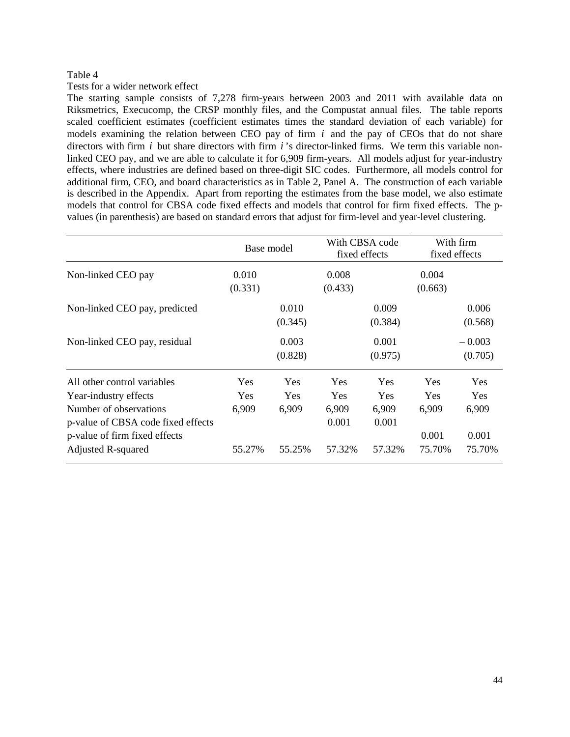## Tests for a wider network effect

The starting sample consists of 7,278 firm-years between 2003 and 2011 with available data on Riksmetrics, Execucomp, the CRSP monthly files, and the Compustat annual files. The table reports scaled coefficient estimates (coefficient estimates times the standard deviation of each variable) for models examining the relation between CEO pay of firm *i* and the pay of CEOs that do not share directors with firm *i* but share directors with firm *i* 's director-linked firms. We term this variable nonlinked CEO pay, and we are able to calculate it for 6,909 firm-years. All models adjust for year-industry effects, where industries are defined based on three-digit SIC codes. Furthermore, all models control for additional firm, CEO, and board characteristics as in Table 2, Panel A. The construction of each variable is described in the Appendix. Apart from reporting the estimates from the base model, we also estimate models that control for CBSA code fixed effects and models that control for firm fixed effects. The pvalues (in parenthesis) are based on standard errors that adjust for firm-level and year-level clustering.

|                                                                                                                                                                                    | Base model                                  |                                      |                                               | With CBSA code<br>fixed effects               |                                               | With firm<br>fixed effects                           |
|------------------------------------------------------------------------------------------------------------------------------------------------------------------------------------|---------------------------------------------|--------------------------------------|-----------------------------------------------|-----------------------------------------------|-----------------------------------------------|------------------------------------------------------|
| Non-linked CEO pay                                                                                                                                                                 | 0.010<br>(0.331)                            |                                      | 0.008<br>(0.433)                              |                                               | 0.004<br>(0.663)                              |                                                      |
| Non-linked CEO pay, predicted                                                                                                                                                      |                                             | 0.010<br>(0.345)                     |                                               | 0.009<br>(0.384)                              |                                               | 0.006<br>(0.568)                                     |
| Non-linked CEO pay, residual                                                                                                                                                       |                                             | 0.003<br>(0.828)                     |                                               | 0.001<br>(0.975)                              |                                               | $-0.003$<br>(0.705)                                  |
| All other control variables<br>Year-industry effects<br>Number of observations<br>p-value of CBSA code fixed effects<br>p-value of firm fixed effects<br><b>Adjusted R-squared</b> | <b>Yes</b><br><b>Yes</b><br>6,909<br>55.27% | Yes<br><b>Yes</b><br>6,909<br>55.25% | Yes<br><b>Yes</b><br>6,909<br>0.001<br>57.32% | Yes<br><b>Yes</b><br>6,909<br>0.001<br>57.32% | Yes<br><b>Yes</b><br>6,909<br>0.001<br>75.70% | <b>Yes</b><br><b>Yes</b><br>6,909<br>0.001<br>75.70% |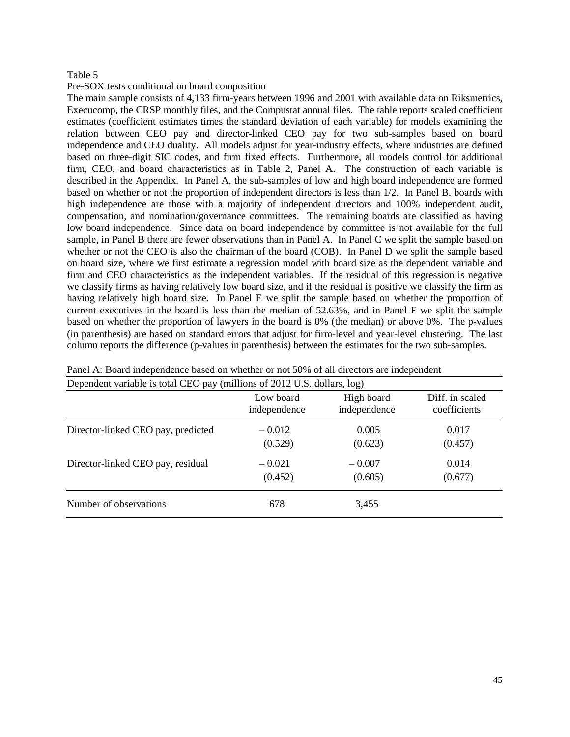## Pre-SOX tests conditional on board composition

The main sample consists of 4,133 firm-years between 1996 and 2001 with available data on Riksmetrics, Execucomp, the CRSP monthly files, and the Compustat annual files. The table reports scaled coefficient estimates (coefficient estimates times the standard deviation of each variable) for models examining the relation between CEO pay and director-linked CEO pay for two sub-samples based on board independence and CEO duality. All models adjust for year-industry effects, where industries are defined based on three-digit SIC codes, and firm fixed effects. Furthermore, all models control for additional firm, CEO, and board characteristics as in Table 2, Panel A. The construction of each variable is described in the Appendix. In Panel A, the sub-samples of low and high board independence are formed based on whether or not the proportion of independent directors is less than 1/2. In Panel B, boards with high independence are those with a majority of independent directors and 100% independent audit, compensation, and nomination/governance committees. The remaining boards are classified as having low board independence. Since data on board independence by committee is not available for the full sample, in Panel B there are fewer observations than in Panel A. In Panel C we split the sample based on whether or not the CEO is also the chairman of the board (COB). In Panel D we split the sample based on board size, where we first estimate a regression model with board size as the dependent variable and firm and CEO characteristics as the independent variables. If the residual of this regression is negative we classify firms as having relatively low board size, and if the residual is positive we classify the firm as having relatively high board size. In Panel E we split the sample based on whether the proportion of current executives in the board is less than the median of 52.63%, and in Panel F we split the sample based on whether the proportion of lawyers in the board is 0% (the median) or above 0%. The p-values (in parenthesis) are based on standard errors that adjust for firm-level and year-level clustering. The last column reports the difference (p-values in parenthesis) between the estimates for the two sub-samples.

| Dependent variable is total CEO pay (millions of 2012 U.S. dollars, log) |              |              |                 |  |  |
|--------------------------------------------------------------------------|--------------|--------------|-----------------|--|--|
|                                                                          | Low board    | High board   | Diff. in scaled |  |  |
|                                                                          | independence | independence | coefficients    |  |  |
| Director-linked CEO pay, predicted                                       | $-0.012$     | 0.005        | 0.017           |  |  |
|                                                                          | (0.529)      | (0.623)      | (0.457)         |  |  |
| Director-linked CEO pay, residual                                        | $-0.021$     | $-0.007$     | 0.014           |  |  |
|                                                                          | (0.452)      | (0.605)      | (0.677)         |  |  |
| Number of observations                                                   | 678          | 3,455        |                 |  |  |

Panel A: Board independence based on whether or not 50% of all directors are independent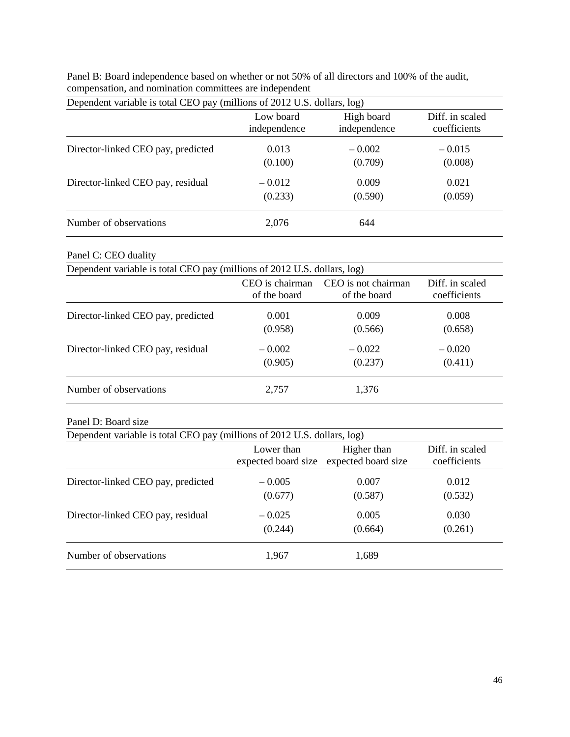| Dependent variable is total CEO pay (millions of 2012 U.S. dollars, log) |              |              |                 |  |  |
|--------------------------------------------------------------------------|--------------|--------------|-----------------|--|--|
|                                                                          | Low board    | High board   | Diff. in scaled |  |  |
|                                                                          | independence | independence | coefficients    |  |  |
| Director-linked CEO pay, predicted                                       | 0.013        | $-0.002$     | $-0.015$        |  |  |
|                                                                          | (0.100)      | (0.709)      | (0.008)         |  |  |
| Director-linked CEO pay, residual                                        | $-0.012$     | 0.009        | 0.021           |  |  |
|                                                                          | (0.233)      | (0.590)      | (0.059)         |  |  |
| Number of observations                                                   | 2,076        | 644          |                 |  |  |

Panel B: Board independence based on whether or not 50% of all directors and 100% of the audit, compensation, and nomination committees are independent

# Panel C: CEO duality

| Dependent variable is total CEO pay (millions of 2012 U.S. dollars, log) |                 |                     |                 |  |  |
|--------------------------------------------------------------------------|-----------------|---------------------|-----------------|--|--|
|                                                                          | CEO is chairman | CEO is not chairman | Diff. in scaled |  |  |
|                                                                          | of the board    | of the board        | coefficients    |  |  |
| Director-linked CEO pay, predicted                                       | 0.001           | 0.009               | 0.008           |  |  |
|                                                                          | (0.958)         | (0.566)             | (0.658)         |  |  |
| Director-linked CEO pay, residual                                        | $-0.002$        | $-0.022$            | $-0.020$        |  |  |
|                                                                          | (0.905)         | (0.237)             | (0.411)         |  |  |
| Number of observations                                                   | 2,757           | 1,376               |                 |  |  |

## Panel D: Board size

| Dependent variable is total CEO pay (millions of 2012 U.S. dollars, log) |                     |                     |                 |
|--------------------------------------------------------------------------|---------------------|---------------------|-----------------|
|                                                                          | Lower than          | Higher than         | Diff. in scaled |
|                                                                          | expected board size | expected board size | coefficients    |
| Director-linked CEO pay, predicted                                       | $-0.005$            | 0.007               | 0.012           |
|                                                                          | (0.677)             | (0.587)             | (0.532)         |
| Director-linked CEO pay, residual                                        | $-0.025$            | 0.005               | 0.030           |
|                                                                          | (0.244)             | (0.664)             | (0.261)         |
| Number of observations                                                   | 1,967               | 1,689               |                 |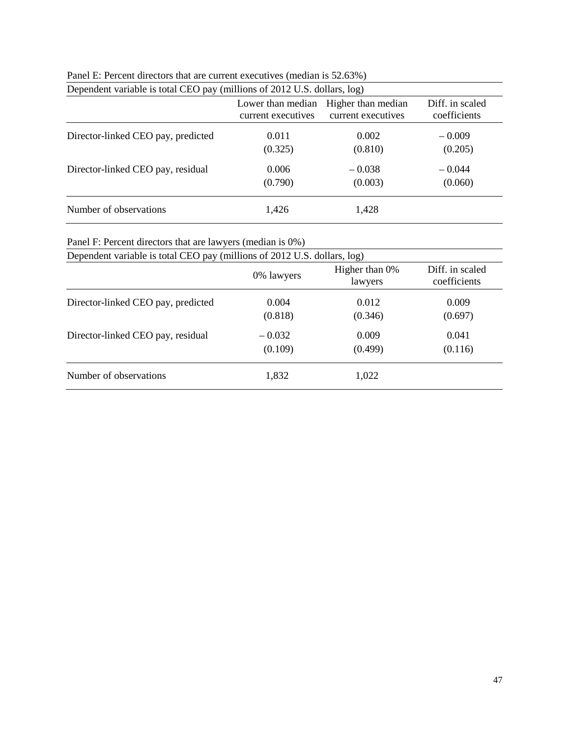| Dependent variable is total CEO pay (millions of 2012 U.S. dollars, log) |                                         |                                          |                                 |
|--------------------------------------------------------------------------|-----------------------------------------|------------------------------------------|---------------------------------|
|                                                                          | Lower than median<br>current executives | Higher than median<br>current executives | Diff. in scaled<br>coefficients |
| Director-linked CEO pay, predicted                                       | 0.011                                   | 0.002                                    | $-0.009$                        |
|                                                                          | (0.325)                                 | (0.810)                                  | (0.205)                         |
| Director-linked CEO pay, residual                                        | 0.006                                   | $-0.038$                                 | $-0.044$                        |
|                                                                          | (0.790)                                 | (0.003)                                  | (0.060)                         |
| Number of observations                                                   | 1,426                                   | 1,428                                    |                                 |

| Panel E: Percent directors that are current executives (median is 52.63%) |  |
|---------------------------------------------------------------------------|--|
|---------------------------------------------------------------------------|--|

Panel F: Percent directors that are lawyers (median is 0%)

| Dependent variable is total CEO pay (millions of 2012 U.S. dollars, log) |            |                           |                                 |
|--------------------------------------------------------------------------|------------|---------------------------|---------------------------------|
|                                                                          | 0% lawyers | Higher than 0%<br>lawyers | Diff. in scaled<br>coefficients |
| Director-linked CEO pay, predicted                                       | 0.004      | 0.012                     | 0.009                           |
|                                                                          | (0.818)    | (0.346)                   | (0.697)                         |
| Director-linked CEO pay, residual                                        | $-0.032$   | 0.009                     | 0.041                           |
|                                                                          | (0.109)    | (0.499)                   | (0.116)                         |
| Number of observations                                                   | 1,832      | 1,022                     |                                 |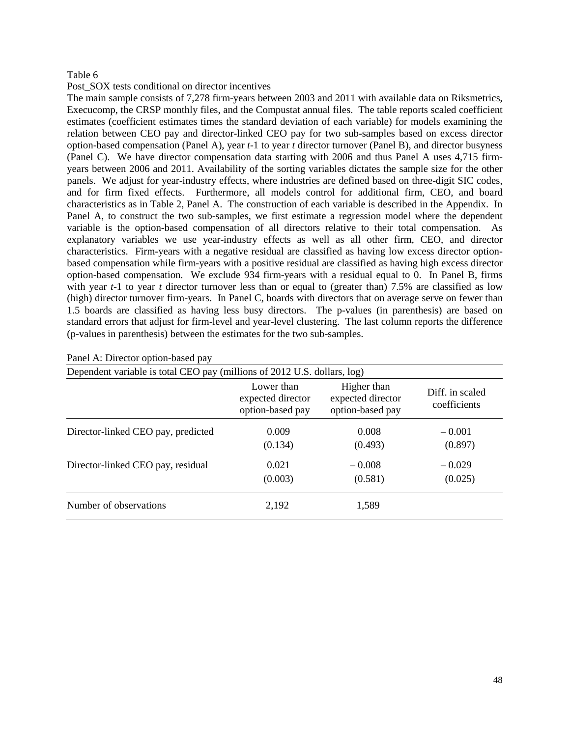## Post SOX tests conditional on director incentives

The main sample consists of 7,278 firm-years between 2003 and 2011 with available data on Riksmetrics, Execucomp, the CRSP monthly files, and the Compustat annual files. The table reports scaled coefficient estimates (coefficient estimates times the standard deviation of each variable) for models examining the relation between CEO pay and director-linked CEO pay for two sub-samples based on excess director option-based compensation (Panel A), year *t*-1 to year *t* director turnover (Panel B), and director busyness (Panel C). We have director compensation data starting with 2006 and thus Panel A uses 4,715 firmyears between 2006 and 2011. Availability of the sorting variables dictates the sample size for the other panels. We adjust for year-industry effects, where industries are defined based on three-digit SIC codes, and for firm fixed effects. Furthermore, all models control for additional firm, CEO, and board characteristics as in Table 2, Panel A. The construction of each variable is described in the Appendix. In Panel A, to construct the two sub-samples, we first estimate a regression model where the dependent variable is the option-based compensation of all directors relative to their total compensation. As explanatory variables we use year-industry effects as well as all other firm, CEO, and director characteristics. Firm-years with a negative residual are classified as having low excess director optionbased compensation while firm-years with a positive residual are classified as having high excess director option-based compensation. We exclude 934 firm-years with a residual equal to 0. In Panel B, firms with year *t*-1 to year *t* director turnover less than or equal to (greater than) 7.5% are classified as low (high) director turnover firm-years. In Panel C, boards with directors that on average serve on fewer than 1.5 boards are classified as having less busy directors. The p-values (in parenthesis) are based on standard errors that adjust for firm-level and year-level clustering. The last column reports the difference (p-values in parenthesis) between the estimates for the two sub-samples.

| Dependent variable is total CEO pay (millions of 2012 U.S. dollars, log) |                                                     |                                                      |                                 |
|--------------------------------------------------------------------------|-----------------------------------------------------|------------------------------------------------------|---------------------------------|
|                                                                          | Lower than<br>expected director<br>option-based pay | Higher than<br>expected director<br>option-based pay | Diff. in scaled<br>coefficients |
| Director-linked CEO pay, predicted                                       | 0.009<br>(0.134)                                    | 0.008<br>(0.493)                                     | $-0.001$<br>(0.897)             |
| Director-linked CEO pay, residual                                        | 0.021<br>(0.003)                                    | $-0.008$<br>(0.581)                                  | $-0.029$<br>(0.025)             |
| Number of observations                                                   | 2,192                                               | 1,589                                                |                                 |

#### Panel A: Director option-based pay